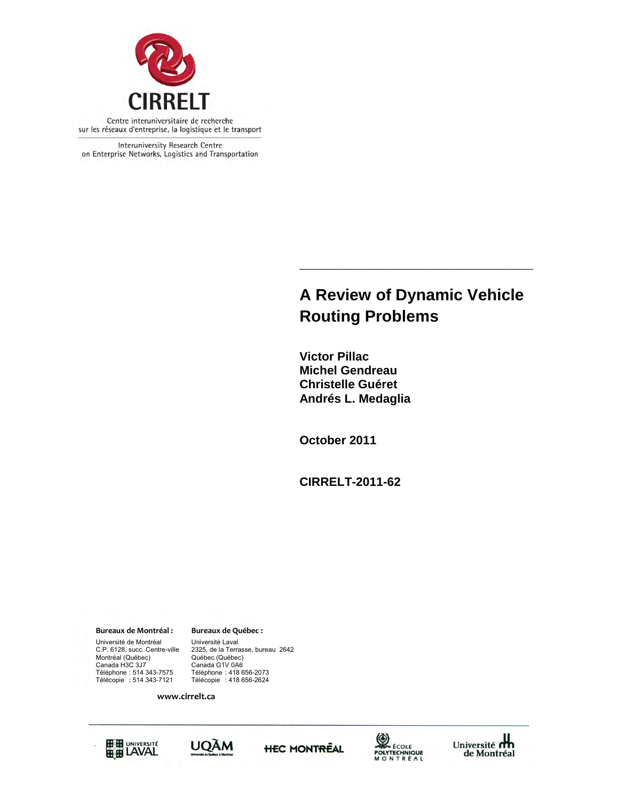

Interuniversity Research Centre on Enterprise Networks, Logistics and Transportation

# **A Review of Dynamic Vehicle Routing Problems**

 **\_\_\_\_\_\_\_\_\_\_\_\_\_\_\_\_\_\_\_\_\_\_\_\_\_\_**

**Victor Pillac Michel Gendreau Christelle Guéret Andrés L. Medaglia** 

**October 2011** 

**CIRRELT-2011-62**

**Bureaux de Montréal : Bureaux de Québec :**

Montréal (Québec) Québec (Québec)<br>Canada H3C 3J7 Canada G1V 0A6 Université de Montréal Université Laval<br>C.P. 6128, succ. Centre-ville 2325, de la Terra Montréal (Québec)<br>Canada H3C 3J7<br>Téléphone : 514 343-7575<br>Télécopie : 514 343-7121

2325, de la Terrasse, bureau 2642 Téléphone : 514 343-7575 Téléphone : 418 656-2073 Télécopie : 514 343-7121 Télécopie : 418 656-2624

**www.cirrelt.ca** 









Université<br>de Montréal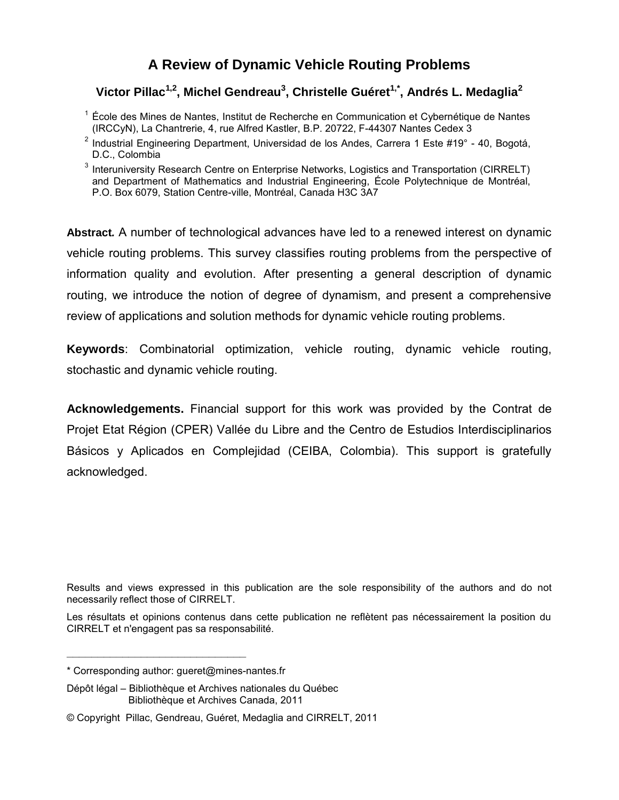# **A Review of Dynamic Vehicle Routing Problems**

# **Victor Pillac1,2 , Michel Gendreau<sup>3</sup> , Christelle Guéret1,\*, Andrés L. Medaglia<sup>2</sup>**

- <sup>1</sup> École des Mines de Nantes, Institut de Recherche en Communication et Cybernétique de Nantes (IRCCyN), La Chantrerie, 4, rue Alfred Kastler, B.P. 20722, F-44307 Nantes Cedex 3
- <sup>2</sup> Industrial Engineering Department, Universidad de los Andes, Carrera 1 Este #19° 40, Bogotá, D.C., Colombia

**Abstract***.* A number of technological advances have led to a renewed interest on dynamic vehicle routing problems. This survey classifies routing problems from the perspective of information quality and evolution. After presenting a general description of dynamic routing, we introduce the notion of degree of dynamism, and present a comprehensive review of applications and solution methods for dynamic vehicle routing problems.

**Keywords**: Combinatorial optimization, vehicle routing, dynamic vehicle routing, stochastic and dynamic vehicle routing.

**Acknowledgements.** Financial support for this work was provided by the Contrat de Projet Etat Région (CPER) Vallée du Libre and the Centro de Estudios Interdisciplinarios Básicos y Aplicados en Complejidad (CEIBA, Colombia). This support is gratefully acknowledged.

Results and views expressed in this publication are the sole responsibility of the authors and do not necessarily reflect those of CIRRELT.

Les résultats et opinions contenus dans cette publication ne reflètent pas nécessairement la position du CIRRELT et n'engagent pas sa responsabilité.

**\_\_\_\_\_\_\_\_\_\_\_\_\_\_\_\_\_\_\_\_\_\_\_\_\_\_\_\_\_**

 $3$  Interuniversity Research Centre on Enterprise Networks, Logistics and Transportation (CIRRELT) and Department of Mathematics and Industrial Engineering, École Polytechnique de Montréal, P.O. Box 6079, Station Centre-ville, Montréal, Canada H3C 3A7

<sup>\*</sup> Corresponding author: gueret@mines-nantes.fr

Dépôt légal – Bibliothèque et Archives nationales du Québec Bibliothèque et Archives Canada, 2011

<sup>©</sup> Copyright Pillac, Gendreau, Guéret, Medaglia and CIRRELT, 2011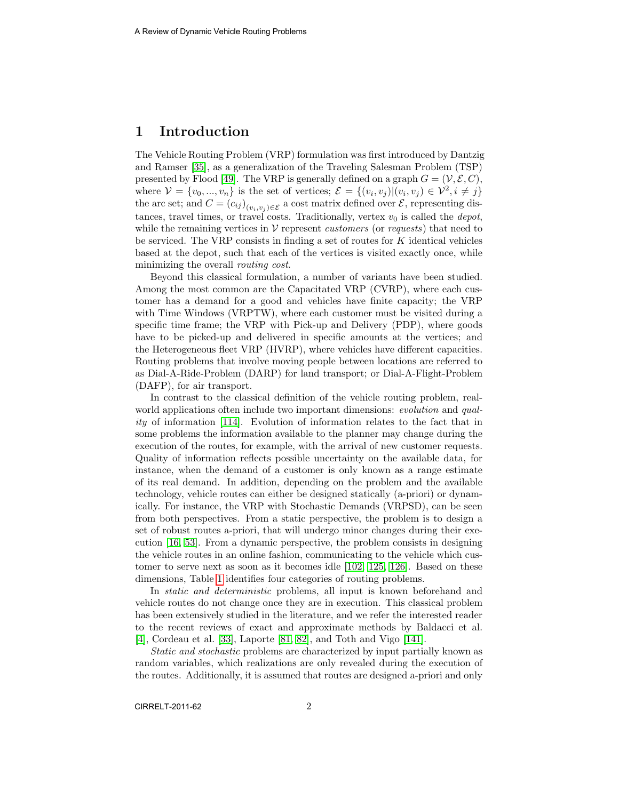# 1 Introduction

The Vehicle Routing Problem (VRP) formulation was first introduced by Dantzig and Ramser [\[35\]](#page-21-0), as a generalization of the Traveling Salesman Problem (TSP) presented by Flood [\[49\]](#page-21-1). The VRP is generally defined on a graph  $G = (\mathcal{V}, \mathcal{E}, C)$ , where  $\mathcal{V} = \{v_0, ..., v_n\}$  is the set of vertices;  $\mathcal{E} = \{(v_i, v_j) | (v_i, v_j) \in \mathcal{V}^2, i \neq j\}$ the arc set; and  $C = (c_{ij})_{(v_i, v_j) \in \mathcal{E}}$  a cost matrix defined over  $\mathcal{E}$ , representing distances, travel times, or travel costs. Traditionally, vertex  $v_0$  is called the *depot*, while the remaining vertices in  $V$  represent *customers* (or *requests*) that need to be serviced. The VRP consists in finding a set of routes for  $K$  identical vehicles based at the depot, such that each of the vertices is visited exactly once, while minimizing the overall routing cost.

Beyond this classical formulation, a number of variants have been studied. Among the most common are the Capacitated VRP (CVRP), where each customer has a demand for a good and vehicles have finite capacity; the VRP with Time Windows (VRPTW), where each customer must be visited during a specific time frame; the VRP with Pick-up and Delivery (PDP), where goods have to be picked-up and delivered in specific amounts at the vertices; and the Heterogeneous fleet VRP (HVRP), where vehicles have different capacities. Routing problems that involve moving people between locations are referred to as Dial-A-Ride-Problem (DARP) for land transport; or Dial-A-Flight-Problem (DAFP), for air transport.

In contrast to the classical definition of the vehicle routing problem, realworld applications often include two important dimensions: *evolution* and *qual*ity of information [\[114\]](#page-25-0). Evolution of information relates to the fact that in some problems the information available to the planner may change during the execution of the routes, for example, with the arrival of new customer requests. Quality of information reflects possible uncertainty on the available data, for instance, when the demand of a customer is only known as a range estimate of its real demand. In addition, depending on the problem and the available technology, vehicle routes can either be designed statically (a-priori) or dynamically. For instance, the VRP with Stochastic Demands (VRPSD), can be seen from both perspectives. From a static perspective, the problem is to design a set of robust routes a-priori, that will undergo minor changes during their execution [\[16,](#page-19-0) [53\]](#page-22-0). From a dynamic perspective, the problem consists in designing the vehicle routes in an online fashion, communicating to the vehicle which customer to serve next as soon as it becomes idle [\[102,](#page-25-1) [125,](#page-26-0) [126\]](#page-26-1). Based on these dimensions, Table [1](#page-3-0) identifies four categories of routing problems.

In *static and deterministic* problems, all input is known beforehand and vehicle routes do not change once they are in execution. This classical problem has been extensively studied in the literature, and we refer the interested reader to the recent reviews of exact and approximate methods by Baldacci et al. [\[4\]](#page-19-1), Cordeau et al. [\[33\]](#page-21-2), Laporte [\[81,](#page-23-0) [82\]](#page-23-1), and Toth and Vigo [\[141\]](#page-27-0).

Static and stochastic problems are characterized by input partially known as random variables, which realizations are only revealed during the execution of the routes. Additionally, it is assumed that routes are designed a-priori and only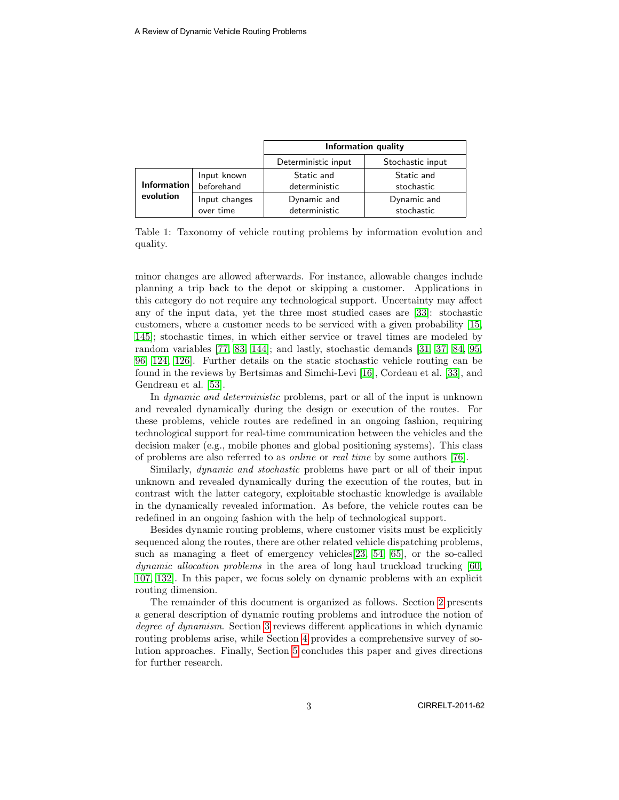<span id="page-3-0"></span>

|                                 |                            | Information quality          |                           |
|---------------------------------|----------------------------|------------------------------|---------------------------|
|                                 |                            | Deterministic input          | Stochastic input          |
| <b>Information</b><br>evolution | Input known<br>beforehand  | Static and<br>deterministic  | Static and<br>stochastic  |
|                                 | Input changes<br>over time | Dynamic and<br>deterministic | Dynamic and<br>stochastic |

Table 1: Taxonomy of vehicle routing problems by information evolution and quality.

minor changes are allowed afterwards. For instance, allowable changes include planning a trip back to the depot or skipping a customer. Applications in this category do not require any technological support. Uncertainty may affect any of the input data, yet the three most studied cases are [\[33\]](#page-21-2): stochastic customers, where a customer needs to be serviced with a given probability [\[15,](#page-19-2) [145\]](#page-27-1); stochastic times, in which either service or travel times are modeled by random variables [\[77,](#page-23-2) [83,](#page-23-3) [144\]](#page-27-2); and lastly, stochastic demands [\[31,](#page-20-0) [37,](#page-21-3) [84,](#page-23-4) [95,](#page-24-0) [96,](#page-24-1) [124,](#page-26-2) [126\]](#page-26-1). Further details on the static stochastic vehicle routing can be found in the reviews by Bertsimas and Simchi-Levi [\[16\]](#page-19-0), Cordeau et al. [\[33\]](#page-21-2), and Gendreau et al. [\[53\]](#page-22-0).

In *dynamic and deterministic* problems, part or all of the input is unknown and revealed dynamically during the design or execution of the routes. For these problems, vehicle routes are redefined in an ongoing fashion, requiring technological support for real-time communication between the vehicles and the decision maker (e.g., mobile phones and global positioning systems). This class of problems are also referred to as online or real time by some authors [\[76\]](#page-23-5).

Similarly, dynamic and stochastic problems have part or all of their input unknown and revealed dynamically during the execution of the routes, but in contrast with the latter category, exploitable stochastic knowledge is available in the dynamically revealed information. As before, the vehicle routes can be redefined in an ongoing fashion with the help of technological support.

Besides dynamic routing problems, where customer visits must be explicitly sequenced along the routes, there are other related vehicle dispatching problems, such as managing a fleet of emergency vehicles[\[23,](#page-20-1) [54,](#page-22-1) [65\]](#page-22-2), or the so-called dynamic allocation problems in the area of long haul truckload trucking [\[60,](#page-22-3) [107,](#page-25-2) [132\]](#page-26-3). In this paper, we focus solely on dynamic problems with an explicit routing dimension.

The remainder of this document is organized as follows. Section [2](#page-4-0) presents a general description of dynamic routing problems and introduce the notion of degree of dynamism. Section [3](#page-7-0) reviews different applications in which dynamic routing problems arise, while Section [4](#page-11-0) provides a comprehensive survey of solution approaches. Finally, Section [5](#page-17-0) concludes this paper and gives directions for further research.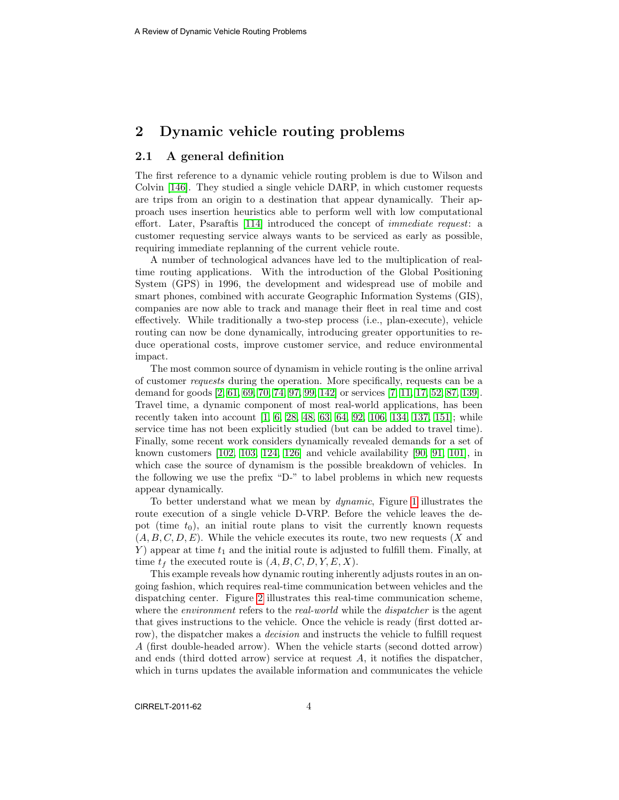# <span id="page-4-0"></span>2 Dynamic vehicle routing problems

#### 2.1 A general definition

The first reference to a dynamic vehicle routing problem is due to Wilson and Colvin [\[146\]](#page-27-3). They studied a single vehicle DARP, in which customer requests are trips from an origin to a destination that appear dynamically. Their approach uses insertion heuristics able to perform well with low computational effort. Later, Psaraftis [\[114\]](#page-25-0) introduced the concept of immediate request: a customer requesting service always wants to be serviced as early as possible, requiring immediate replanning of the current vehicle route.

A number of technological advances have led to the multiplication of realtime routing applications. With the introduction of the Global Positioning System (GPS) in 1996, the development and widespread use of mobile and smart phones, combined with accurate Geographic Information Systems (GIS), companies are now able to track and manage their fleet in real time and cost effectively. While traditionally a two-step process (i.e., plan-execute), vehicle routing can now be done dynamically, introducing greater opportunities to reduce operational costs, improve customer service, and reduce environmental impact.

The most common source of dynamism in vehicle routing is the online arrival of customer requests during the operation. More specifically, requests can be a demand for goods [\[2,](#page-19-3) [61,](#page-22-4) [69,](#page-23-6) [70,](#page-23-7) [74,](#page-23-8) [97,](#page-24-2) [99,](#page-24-3) [142\]](#page-27-4) or services [\[7,](#page-19-4) [11,](#page-19-5) [17,](#page-20-2) [52,](#page-22-5) [87,](#page-24-4) [139\]](#page-27-5). Travel time, a dynamic component of most real-world applications, has been recently taken into account [\[1,](#page-19-6) [6,](#page-19-7) [28,](#page-20-3) [48,](#page-21-4) [63,](#page-22-6) [64,](#page-22-7) [92,](#page-24-5) [106,](#page-25-3) [134,](#page-26-4) [137,](#page-27-6) [151\]](#page-28-0); while service time has not been explicitly studied (but can be added to travel time). Finally, some recent work considers dynamically revealed demands for a set of known customers [\[102,](#page-25-1) [103,](#page-25-4) [124,](#page-26-2) [126\]](#page-26-1) and vehicle availability [\[90,](#page-24-6) [91,](#page-24-7) [101\]](#page-25-5), in which case the source of dynamism is the possible breakdown of vehicles. In the following we use the prefix "D-" to label problems in which new requests appear dynamically.

To better understand what we mean by dynamic, Figure [1](#page-5-0) illustrates the route execution of a single vehicle D-VRP. Before the vehicle leaves the depot (time  $t_0$ ), an initial route plans to visit the currently known requests  $(A, B, C, D, E)$ . While the vehicle executes its route, two new requests  $(X \text{ and } X)$  $Y$ ) appear at time  $t_1$  and the initial route is adjusted to fulfill them. Finally, at time  $t_f$  the executed route is  $(A, B, C, D, Y, E, X)$ .

This example reveals how dynamic routing inherently adjusts routes in an ongoing fashion, which requires real-time communication between vehicles and the dispatching center. Figure [2](#page-5-1) illustrates this real-time communication scheme, where the *environment* refers to the *real-world* while the *dispatcher* is the agent that gives instructions to the vehicle. Once the vehicle is ready (first dotted arrow), the dispatcher makes a *decision* and instructs the vehicle to fulfill request A (first double-headed arrow). When the vehicle starts (second dotted arrow) and ends (third dotted arrow) service at request A, it notifies the dispatcher, which in turns updates the available information and communicates the vehicle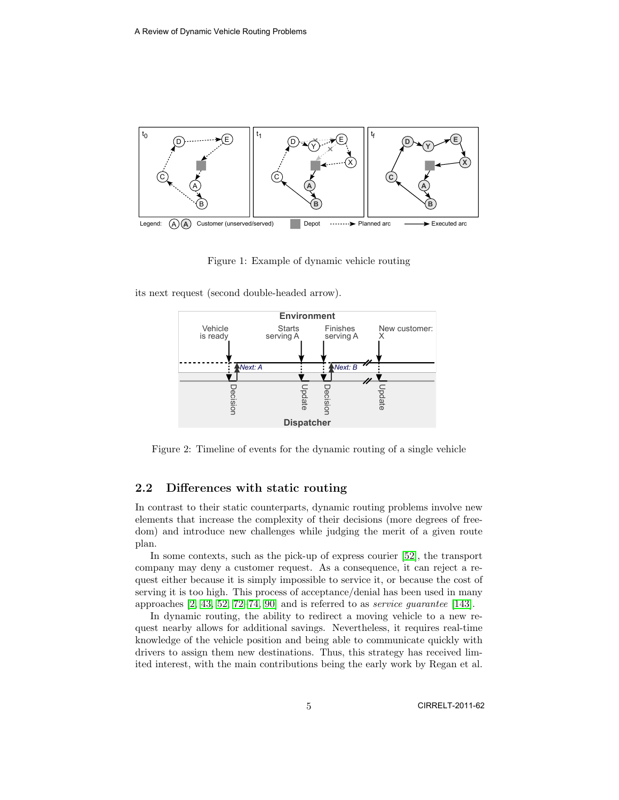

<span id="page-5-1"></span><span id="page-5-0"></span>Figure 1: Example of dynamic vehicle routing

its next request (second double-headed arrow).



Figure 2: Timeline of events for the dynamic routing of a single vehicle

### 2.2 Differences with static routing

In contrast to their static counterparts, dynamic routing problems involve new elements that increase the complexity of their decisions (more degrees of freedom) and introduce new challenges while judging the merit of a given route plan.

In some contexts, such as the pick-up of express courier [\[52\]](#page-22-5), the transport company may deny a customer request. As a consequence, it can reject a request either because it is simply impossible to service it, or because the cost of serving it is too high. This process of acceptance/denial has been used in many approaches [\[2,](#page-19-3) [43,](#page-21-5) [52,](#page-22-5) [72–](#page-23-9)[74,](#page-23-8) [90\]](#page-24-6) and is referred to as service guarantee [\[143\]](#page-27-7).

In dynamic routing, the ability to redirect a moving vehicle to a new request nearby allows for additional savings. Nevertheless, it requires real-time knowledge of the vehicle position and being able to communicate quickly with drivers to assign them new destinations. Thus, this strategy has received limited interest, with the main contributions being the early work by Regan et al.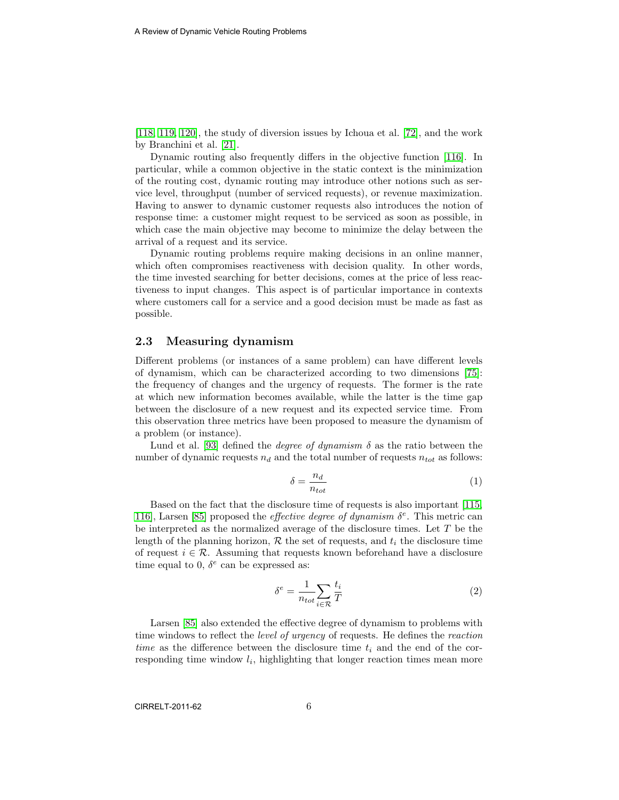[\[118,](#page-26-5) [119,](#page-26-6) [120\]](#page-26-7), the study of diversion issues by Ichoua et al. [\[72\]](#page-23-9), and the work by Branchini et al. [\[21\]](#page-20-4).

Dynamic routing also frequently differs in the objective function [\[116\]](#page-25-6). In particular, while a common objective in the static context is the minimization of the routing cost, dynamic routing may introduce other notions such as service level, throughput (number of serviced requests), or revenue maximization. Having to answer to dynamic customer requests also introduces the notion of response time: a customer might request to be serviced as soon as possible, in which case the main objective may become to minimize the delay between the arrival of a request and its service.

Dynamic routing problems require making decisions in an online manner, which often compromises reactiveness with decision quality. In other words, the time invested searching for better decisions, comes at the price of less reactiveness to input changes. This aspect is of particular importance in contexts where customers call for a service and a good decision must be made as fast as possible.

#### 2.3 Measuring dynamism

Different problems (or instances of a same problem) can have different levels of dynamism, which can be characterized according to two dimensions [\[75\]](#page-23-10): the frequency of changes and the urgency of requests. The former is the rate at which new information becomes available, while the latter is the time gap between the disclosure of a new request and its expected service time. From this observation three metrics have been proposed to measure the dynamism of a problem (or instance).

Lund et al. [\[93\]](#page-24-8) defined the *degree of dynamism*  $\delta$  as the ratio between the number of dynamic requests  $n_d$  and the total number of requests  $n_{tot}$  as follows:

$$
\delta = \frac{n_d}{n_{tot}}\tag{1}
$$

Based on the fact that the disclosure time of requests is also important [\[115,](#page-25-7) [116\]](#page-25-6), Larsen [\[85\]](#page-24-9) proposed the *effective degree of dynamism*  $\delta^e$ . This metric can be interpreted as the normalized average of the disclosure times. Let T be the length of the planning horizon,  $\mathcal R$  the set of requests, and  $t_i$  the disclosure time of request  $i \in \mathcal{R}$ . Assuming that requests known beforehand have a disclosure time equal to 0,  $\delta^e$  can be expressed as:

$$
\delta^e = \frac{1}{n_{tot}} \sum_{i \in \mathcal{R}} \frac{t_i}{T} \tag{2}
$$

Larsen [\[85\]](#page-24-9) also extended the effective degree of dynamism to problems with time windows to reflect the *level of urgency* of requests. He defines the *reaction* time as the difference between the disclosure time  $t_i$  and the end of the corresponding time window  $l_i$ , highlighting that longer reaction times mean more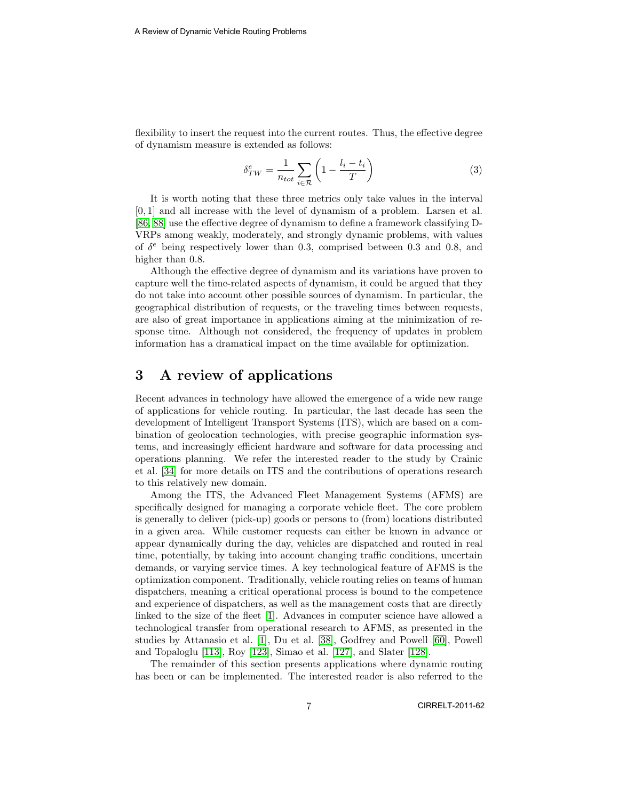flexibility to insert the request into the current routes. Thus, the effective degree of dynamism measure is extended as follows:

$$
\delta_{TW}^e = \frac{1}{n_{tot}} \sum_{i \in \mathcal{R}} \left( 1 - \frac{l_i - t_i}{T} \right) \tag{3}
$$

It is worth noting that these three metrics only take values in the interval [0, 1] and all increase with the level of dynamism of a problem. Larsen et al. [\[86,](#page-24-10) [88\]](#page-24-11) use the effective degree of dynamism to define a framework classifying D-VRPs among weakly, moderately, and strongly dynamic problems, with values of  $\delta^e$  being respectively lower than 0.3, comprised between 0.3 and 0.8, and higher than  $0.8$ .

Although the effective degree of dynamism and its variations have proven to capture well the time-related aspects of dynamism, it could be argued that they do not take into account other possible sources of dynamism. In particular, the geographical distribution of requests, or the traveling times between requests, are also of great importance in applications aiming at the minimization of response time. Although not considered, the frequency of updates in problem information has a dramatical impact on the time available for optimization.

# <span id="page-7-0"></span>3 A review of applications

Recent advances in technology have allowed the emergence of a wide new range of applications for vehicle routing. In particular, the last decade has seen the development of Intelligent Transport Systems (ITS), which are based on a combination of geolocation technologies, with precise geographic information systems, and increasingly efficient hardware and software for data processing and operations planning. We refer the interested reader to the study by Crainic et al. [\[34\]](#page-21-6) for more details on ITS and the contributions of operations research to this relatively new domain.

Among the ITS, the Advanced Fleet Management Systems (AFMS) are specifically designed for managing a corporate vehicle fleet. The core problem is generally to deliver (pick-up) goods or persons to (from) locations distributed in a given area. While customer requests can either be known in advance or appear dynamically during the day, vehicles are dispatched and routed in real time, potentially, by taking into account changing traffic conditions, uncertain demands, or varying service times. A key technological feature of AFMS is the optimization component. Traditionally, vehicle routing relies on teams of human dispatchers, meaning a critical operational process is bound to the competence and experience of dispatchers, as well as the management costs that are directly linked to the size of the fleet [\[1\]](#page-19-6). Advances in computer science have allowed a technological transfer from operational research to AFMS, as presented in the studies by Attanasio et al. [\[1\]](#page-19-6), Du et al. [\[38\]](#page-21-7), Godfrey and Powell [\[60\]](#page-22-3), Powell and Topaloglu [\[113\]](#page-25-8), Roy [\[123\]](#page-26-8), Simao et al. [\[127\]](#page-26-9), and Slater [\[128\]](#page-26-10).

The remainder of this section presents applications where dynamic routing has been or can be implemented. The interested reader is also referred to the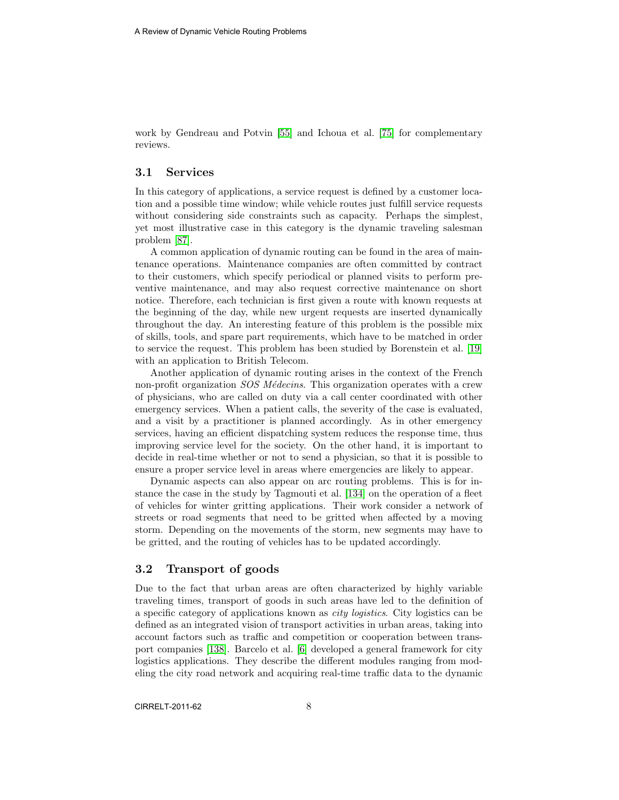work by Gendreau and Potvin [\[55\]](#page-22-8) and Ichoua et al. [\[75\]](#page-23-10) for complementary reviews.

#### 3.1 Services

In this category of applications, a service request is defined by a customer location and a possible time window; while vehicle routes just fulfill service requests without considering side constraints such as capacity. Perhaps the simplest, yet most illustrative case in this category is the dynamic traveling salesman problem [\[87\]](#page-24-4).

A common application of dynamic routing can be found in the area of maintenance operations. Maintenance companies are often committed by contract to their customers, which specify periodical or planned visits to perform preventive maintenance, and may also request corrective maintenance on short notice. Therefore, each technician is first given a route with known requests at the beginning of the day, while new urgent requests are inserted dynamically throughout the day. An interesting feature of this problem is the possible mix of skills, tools, and spare part requirements, which have to be matched in order to service the request. This problem has been studied by Borenstein et al. [\[19\]](#page-20-5) with an application to British Telecom.

Another application of dynamic routing arises in the context of the French non-profit organization SOS Médecins. This organization operates with a crew of physicians, who are called on duty via a call center coordinated with other emergency services. When a patient calls, the severity of the case is evaluated, and a visit by a practitioner is planned accordingly. As in other emergency services, having an efficient dispatching system reduces the response time, thus improving service level for the society. On the other hand, it is important to decide in real-time whether or not to send a physician, so that it is possible to ensure a proper service level in areas where emergencies are likely to appear.

Dynamic aspects can also appear on arc routing problems. This is for instance the case in the study by Tagmouti et al. [\[134\]](#page-26-4) on the operation of a fleet of vehicles for winter gritting applications. Their work consider a network of streets or road segments that need to be gritted when affected by a moving storm. Depending on the movements of the storm, new segments may have to be gritted, and the routing of vehicles has to be updated accordingly.

#### 3.2 Transport of goods

Due to the fact that urban areas are often characterized by highly variable traveling times, transport of goods in such areas have led to the definition of a specific category of applications known as city logistics. City logistics can be defined as an integrated vision of transport activities in urban areas, taking into account factors such as traffic and competition or cooperation between transport companies [\[138\]](#page-27-8). Barcelo et al. [\[6\]](#page-19-7) developed a general framework for city logistics applications. They describe the different modules ranging from modeling the city road network and acquiring real-time traffic data to the dynamic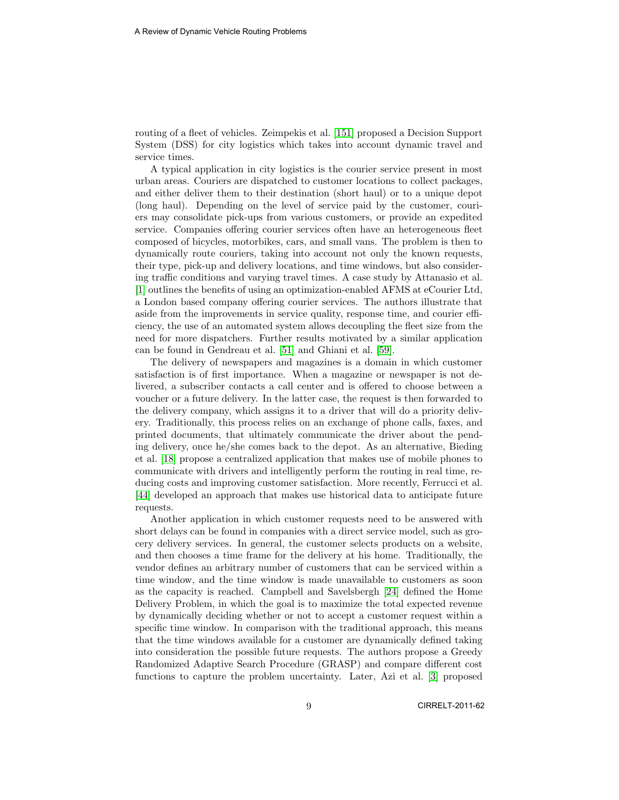routing of a fleet of vehicles. Zeimpekis et al. [\[151\]](#page-28-0) proposed a Decision Support System (DSS) for city logistics which takes into account dynamic travel and service times.

A typical application in city logistics is the courier service present in most urban areas. Couriers are dispatched to customer locations to collect packages, and either deliver them to their destination (short haul) or to a unique depot (long haul). Depending on the level of service paid by the customer, couriers may consolidate pick-ups from various customers, or provide an expedited service. Companies offering courier services often have an heterogeneous fleet composed of bicycles, motorbikes, cars, and small vans. The problem is then to dynamically route couriers, taking into account not only the known requests, their type, pick-up and delivery locations, and time windows, but also considering traffic conditions and varying travel times. A case study by Attanasio et al. [\[1\]](#page-19-6) outlines the benefits of using an optimization-enabled AFMS at eCourier Ltd, a London based company offering courier services. The authors illustrate that aside from the improvements in service quality, response time, and courier efficiency, the use of an automated system allows decoupling the fleet size from the need for more dispatchers. Further results motivated by a similar application can be found in Gendreau et al. [\[51\]](#page-22-9) and Ghiani et al. [\[59\]](#page-22-10).

The delivery of newspapers and magazines is a domain in which customer satisfaction is of first importance. When a magazine or newspaper is not delivered, a subscriber contacts a call center and is offered to choose between a voucher or a future delivery. In the latter case, the request is then forwarded to the delivery company, which assigns it to a driver that will do a priority delivery. Traditionally, this process relies on an exchange of phone calls, faxes, and printed documents, that ultimately communicate the driver about the pending delivery, once he/she comes back to the depot. As an alternative, Bieding et al. [\[18\]](#page-20-6) propose a centralized application that makes use of mobile phones to communicate with drivers and intelligently perform the routing in real time, reducing costs and improving customer satisfaction. More recently, Ferrucci et al. [\[44\]](#page-21-8) developed an approach that makes use historical data to anticipate future requests.

Another application in which customer requests need to be answered with short delays can be found in companies with a direct service model, such as grocery delivery services. In general, the customer selects products on a website, and then chooses a time frame for the delivery at his home. Traditionally, the vendor defines an arbitrary number of customers that can be serviced within a time window, and the time window is made unavailable to customers as soon as the capacity is reached. Campbell and Savelsbergh [\[24\]](#page-20-7) defined the Home Delivery Problem, in which the goal is to maximize the total expected revenue by dynamically deciding whether or not to accept a customer request within a specific time window. In comparison with the traditional approach, this means that the time windows available for a customer are dynamically defined taking into consideration the possible future requests. The authors propose a Greedy Randomized Adaptive Search Procedure (GRASP) and compare different cost functions to capture the problem uncertainty. Later, Azi et al. [\[3\]](#page-19-8) proposed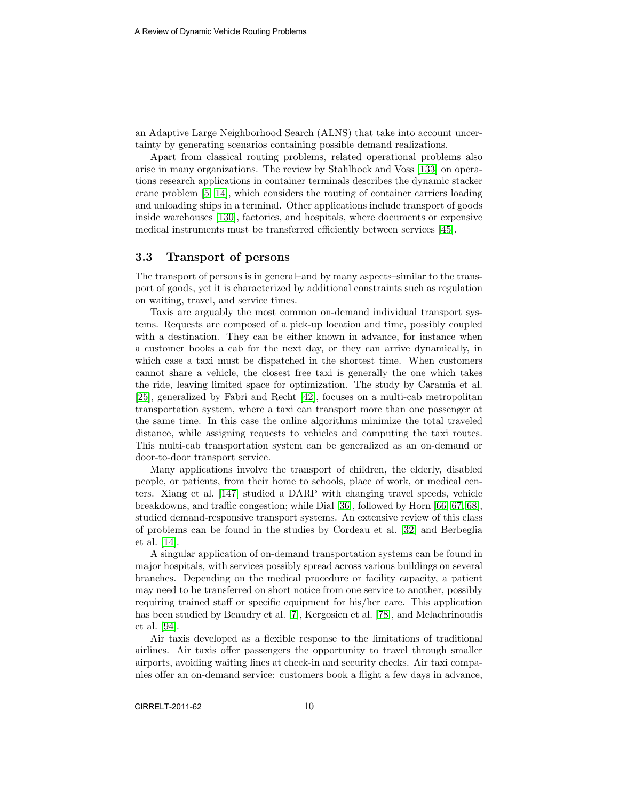an Adaptive Large Neighborhood Search (ALNS) that take into account uncertainty by generating scenarios containing possible demand realizations.

Apart from classical routing problems, related operational problems also arise in many organizations. The review by Stahlbock and Voss [\[133\]](#page-26-11) on operations research applications in container terminals describes the dynamic stacker crane problem [\[5,](#page-19-9) [14\]](#page-19-10), which considers the routing of container carriers loading and unloading ships in a terminal. Other applications include transport of goods inside warehouses [\[130\]](#page-26-12), factories, and hospitals, where documents or expensive medical instruments must be transferred efficiently between services [\[45\]](#page-21-9).

#### 3.3 Transport of persons

The transport of persons is in general–and by many aspects–similar to the transport of goods, yet it is characterized by additional constraints such as regulation on waiting, travel, and service times.

Taxis are arguably the most common on-demand individual transport systems. Requests are composed of a pick-up location and time, possibly coupled with a destination. They can be either known in advance, for instance when a customer books a cab for the next day, or they can arrive dynamically, in which case a taxi must be dispatched in the shortest time. When customers cannot share a vehicle, the closest free taxi is generally the one which takes the ride, leaving limited space for optimization. The study by Caramia et al. [\[25\]](#page-20-8), generalized by Fabri and Recht [\[42\]](#page-21-10), focuses on a multi-cab metropolitan transportation system, where a taxi can transport more than one passenger at the same time. In this case the online algorithms minimize the total traveled distance, while assigning requests to vehicles and computing the taxi routes. This multi-cab transportation system can be generalized as an on-demand or door-to-door transport service.

Many applications involve the transport of children, the elderly, disabled people, or patients, from their home to schools, place of work, or medical centers. Xiang et al. [\[147\]](#page-27-9) studied a DARP with changing travel speeds, vehicle breakdowns, and traffic congestion; while Dial [\[36\]](#page-21-11), followed by Horn [\[66,](#page-23-11) [67,](#page-23-12) [68\]](#page-23-13), studied demand-responsive transport systems. An extensive review of this class of problems can be found in the studies by Cordeau et al. [\[32\]](#page-20-9) and Berbeglia et al. [\[14\]](#page-19-10).

A singular application of on-demand transportation systems can be found in major hospitals, with services possibly spread across various buildings on several branches. Depending on the medical procedure or facility capacity, a patient may need to be transferred on short notice from one service to another, possibly requiring trained staff or specific equipment for his/her care. This application has been studied by Beaudry et al. [\[7\]](#page-19-4), Kergosien et al. [\[78\]](#page-23-14), and Melachrinoudis et al. [\[94\]](#page-24-12).

Air taxis developed as a flexible response to the limitations of traditional airlines. Air taxis offer passengers the opportunity to travel through smaller airports, avoiding waiting lines at check-in and security checks. Air taxi companies offer an on-demand service: customers book a flight a few days in advance,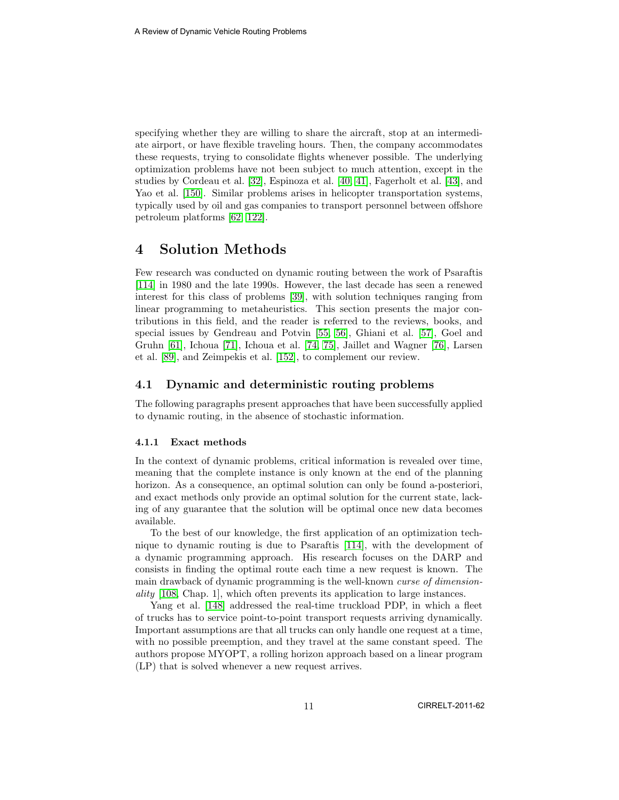specifying whether they are willing to share the aircraft, stop at an intermediate airport, or have flexible traveling hours. Then, the company accommodates these requests, trying to consolidate flights whenever possible. The underlying optimization problems have not been subject to much attention, except in the studies by Cordeau et al. [\[32\]](#page-20-9), Espinoza et al. [\[40,](#page-21-12) [41\]](#page-21-13), Fagerholt et al. [\[43\]](#page-21-5), and Yao et al. [\[150\]](#page-27-10). Similar problems arises in helicopter transportation systems, typically used by oil and gas companies to transport personnel between offshore petroleum platforms [\[62,](#page-22-11) [122\]](#page-26-13).

# <span id="page-11-0"></span>4 Solution Methods

Few research was conducted on dynamic routing between the work of Psaraftis [\[114\]](#page-25-0) in 1980 and the late 1990s. However, the last decade has seen a renewed interest for this class of problems [\[39\]](#page-21-14), with solution techniques ranging from linear programming to metaheuristics. This section presents the major contributions in this field, and the reader is referred to the reviews, books, and special issues by Gendreau and Potvin [\[55,](#page-22-8) [56\]](#page-22-12), Ghiani et al. [\[57\]](#page-22-13), Goel and Gruhn [\[61\]](#page-22-4), Ichoua [\[71\]](#page-23-15), Ichoua et al. [\[74,](#page-23-8) [75\]](#page-23-10), Jaillet and Wagner [\[76\]](#page-23-5), Larsen et al. [\[89\]](#page-24-13), and Zeimpekis et al. [\[152\]](#page-28-1), to complement our review.

#### 4.1 Dynamic and deterministic routing problems

The following paragraphs present approaches that have been successfully applied to dynamic routing, in the absence of stochastic information.

#### <span id="page-11-1"></span>4.1.1 Exact methods

In the context of dynamic problems, critical information is revealed over time, meaning that the complete instance is only known at the end of the planning horizon. As a consequence, an optimal solution can only be found a-posteriori, and exact methods only provide an optimal solution for the current state, lacking of any guarantee that the solution will be optimal once new data becomes available.

To the best of our knowledge, the first application of an optimization technique to dynamic routing is due to Psaraftis [\[114\]](#page-25-0), with the development of a dynamic programming approach. His research focuses on the DARP and consists in finding the optimal route each time a new request is known. The main drawback of dynamic programming is the well-known curse of dimensionality [\[108,](#page-25-9) Chap. 1], which often prevents its application to large instances.

Yang et al. [\[148\]](#page-27-11) addressed the real-time truckload PDP, in which a fleet of trucks has to service point-to-point transport requests arriving dynamically. Important assumptions are that all trucks can only handle one request at a time, with no possible preemption, and they travel at the same constant speed. The authors propose MYOPT, a rolling horizon approach based on a linear program (LP) that is solved whenever a new request arrives.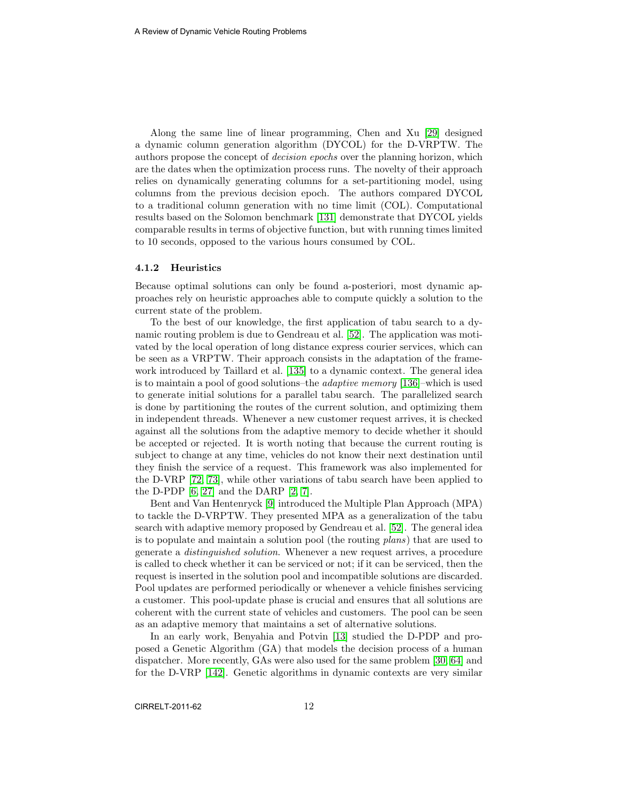Along the same line of linear programming, Chen and Xu [\[29\]](#page-20-10) designed a dynamic column generation algorithm (DYCOL) for the D-VRPTW. The authors propose the concept of decision epochs over the planning horizon, which are the dates when the optimization process runs. The novelty of their approach relies on dynamically generating columns for a set-partitioning model, using columns from the previous decision epoch. The authors compared DYCOL to a traditional column generation with no time limit (COL). Computational results based on the Solomon benchmark [\[131\]](#page-26-14) demonstrate that DYCOL yields comparable results in terms of objective function, but with running times limited to 10 seconds, opposed to the various hours consumed by COL.

#### <span id="page-12-0"></span>4.1.2 Heuristics

Because optimal solutions can only be found a-posteriori, most dynamic approaches rely on heuristic approaches able to compute quickly a solution to the current state of the problem.

To the best of our knowledge, the first application of tabu search to a dynamic routing problem is due to Gendreau et al. [\[52\]](#page-22-5). The application was motivated by the local operation of long distance express courier services, which can be seen as a VRPTW. Their approach consists in the adaptation of the framework introduced by Taillard et al. [\[135\]](#page-27-12) to a dynamic context. The general idea is to maintain a pool of good solutions–the adaptive memory [\[136\]](#page-27-13)–which is used to generate initial solutions for a parallel tabu search. The parallelized search is done by partitioning the routes of the current solution, and optimizing them in independent threads. Whenever a new customer request arrives, it is checked against all the solutions from the adaptive memory to decide whether it should be accepted or rejected. It is worth noting that because the current routing is subject to change at any time, vehicles do not know their next destination until they finish the service of a request. This framework was also implemented for the D-VRP [\[72,](#page-23-9) [73\]](#page-23-16), while other variations of tabu search have been applied to the D-PDP  $[6, 27]$  $[6, 27]$  and the DARP  $[2, 7]$  $[2, 7]$ .

Bent and Van Hentenryck [\[9\]](#page-19-11) introduced the Multiple Plan Approach (MPA) to tackle the D-VRPTW. They presented MPA as a generalization of the tabu search with adaptive memory proposed by Gendreau et al. [\[52\]](#page-22-5). The general idea is to populate and maintain a solution pool (the routing plans) that are used to generate a distinguished solution. Whenever a new request arrives, a procedure is called to check whether it can be serviced or not; if it can be serviced, then the request is inserted in the solution pool and incompatible solutions are discarded. Pool updates are performed periodically or whenever a vehicle finishes servicing a customer. This pool-update phase is crucial and ensures that all solutions are coherent with the current state of vehicles and customers. The pool can be seen as an adaptive memory that maintains a set of alternative solutions.

In an early work, Benyahia and Potvin [\[13\]](#page-19-12) studied the D-PDP and proposed a Genetic Algorithm (GA) that models the decision process of a human dispatcher. More recently, GAs were also used for the same problem [\[30,](#page-20-12) [64\]](#page-22-7) and for the D-VRP [\[142\]](#page-27-4). Genetic algorithms in dynamic contexts are very similar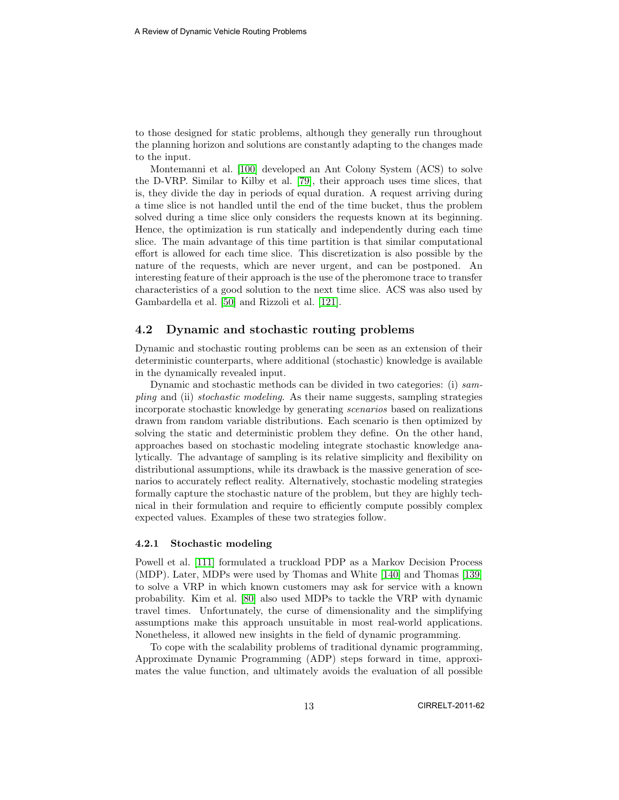to those designed for static problems, although they generally run throughout the planning horizon and solutions are constantly adapting to the changes made to the input.

Montemanni et al. [\[100\]](#page-24-14) developed an Ant Colony System (ACS) to solve the D-VRP. Similar to Kilby et al. [\[79\]](#page-23-17), their approach uses time slices, that is, they divide the day in periods of equal duration. A request arriving during a time slice is not handled until the end of the time bucket, thus the problem solved during a time slice only considers the requests known at its beginning. Hence, the optimization is run statically and independently during each time slice. The main advantage of this time partition is that similar computational effort is allowed for each time slice. This discretization is also possible by the nature of the requests, which are never urgent, and can be postponed. An interesting feature of their approach is the use of the pheromone trace to transfer characteristics of a good solution to the next time slice. ACS was also used by Gambardella et al. [\[50\]](#page-22-14) and Rizzoli et al. [\[121\]](#page-26-15).

#### 4.2 Dynamic and stochastic routing problems

Dynamic and stochastic routing problems can be seen as an extension of their deterministic counterparts, where additional (stochastic) knowledge is available in the dynamically revealed input.

Dynamic and stochastic methods can be divided in two categories: (i) sampling and (ii) stochastic modeling. As their name suggests, sampling strategies incorporate stochastic knowledge by generating scenarios based on realizations drawn from random variable distributions. Each scenario is then optimized by solving the static and deterministic problem they define. On the other hand, approaches based on stochastic modeling integrate stochastic knowledge analytically. The advantage of sampling is its relative simplicity and flexibility on distributional assumptions, while its drawback is the massive generation of scenarios to accurately reflect reality. Alternatively, stochastic modeling strategies formally capture the stochastic nature of the problem, but they are highly technical in their formulation and require to efficiently compute possibly complex expected values. Examples of these two strategies follow.

#### 4.2.1 Stochastic modeling

Powell et al. [\[111\]](#page-25-10) formulated a truckload PDP as a Markov Decision Process (MDP). Later, MDPs were used by Thomas and White [\[140\]](#page-27-14) and Thomas [\[139\]](#page-27-5) to solve a VRP in which known customers may ask for service with a known probability. Kim et al. [\[80\]](#page-23-18) also used MDPs to tackle the VRP with dynamic travel times. Unfortunately, the curse of dimensionality and the simplifying assumptions make this approach unsuitable in most real-world applications. Nonetheless, it allowed new insights in the field of dynamic programming.

To cope with the scalability problems of traditional dynamic programming, Approximate Dynamic Programming (ADP) steps forward in time, approximates the value function, and ultimately avoids the evaluation of all possible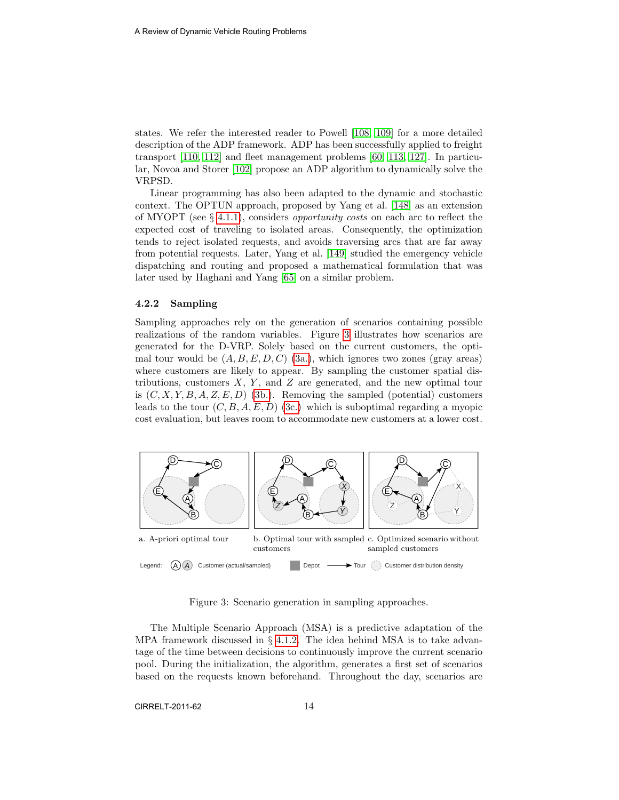states. We refer the interested reader to Powell [\[108,](#page-25-9) [109\]](#page-25-11) for a more detailed description of the ADP framework. ADP has been successfully applied to freight transport [\[110,](#page-25-12) [112\]](#page-25-13) and fleet management problems [\[60,](#page-22-3) [113,](#page-25-8) [127\]](#page-26-9). In particular, Novoa and Storer [\[102\]](#page-25-1) propose an ADP algorithm to dynamically solve the VRPSD.

Linear programming has also been adapted to the dynamic and stochastic context. The OPTUN approach, proposed by Yang et al. [\[148\]](#page-27-11) as an extension of MYOPT (see § [4.1.1\)](#page-11-1), considers opportunity costs on each arc to reflect the expected cost of traveling to isolated areas. Consequently, the optimization tends to reject isolated requests, and avoids traversing arcs that are far away from potential requests. Later, Yang et al. [\[149\]](#page-27-15) studied the emergency vehicle dispatching and routing and proposed a mathematical formulation that was later used by Haghani and Yang [\[65\]](#page-22-2) on a similar problem.

#### 4.2.2 Sampling

Sampling approaches rely on the generation of scenarios containing possible realizations of the random variables. Figure [3](#page-14-0) illustrates how scenarios are generated for the D-VRP. Solely based on the current customers, the optimal tour would be  $(A, B, E, D, C)$  [\(3a.\)](#page-14-1), which ignores two zones (gray areas) where customers are likely to appear. By sampling the customer spatial distributions, customers  $X$ ,  $Y$ , and  $Z$  are generated, and the new optimal tour is  $(C, X, Y, B, A, Z, E, D)$  [\(3b.\)](#page-14-2). Removing the sampled (potential) customers leads to the tour  $(C, B, A, E, D)$  [\(3c.\)](#page-14-3) which is suboptimal regarding a myopic cost evaluation, but leaves room to accommodate new customers at a lower cost.

<span id="page-14-1"></span>

<span id="page-14-3"></span><span id="page-14-2"></span><span id="page-14-0"></span>Figure 3: Scenario generation in sampling approaches.

The Multiple Scenario Approach (MSA) is a predictive adaptation of the MPA framework discussed in  $\S 4.1.2$ . The idea behind MSA is to take advantage of the time between decisions to continuously improve the current scenario pool. During the initialization, the algorithm, generates a first set of scenarios based on the requests known beforehand. Throughout the day, scenarios are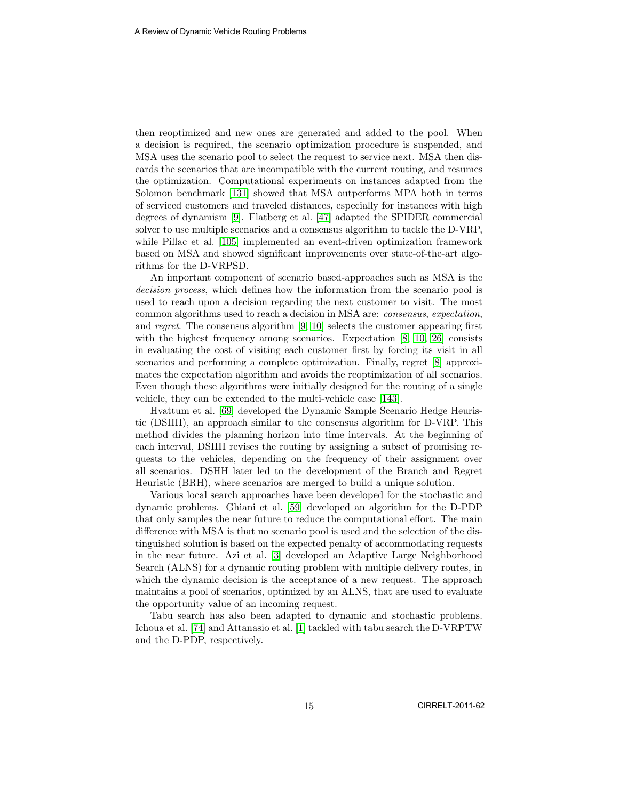then reoptimized and new ones are generated and added to the pool. When a decision is required, the scenario optimization procedure is suspended, and MSA uses the scenario pool to select the request to service next. MSA then discards the scenarios that are incompatible with the current routing, and resumes the optimization. Computational experiments on instances adapted from the Solomon benchmark [\[131\]](#page-26-14) showed that MSA outperforms MPA both in terms of serviced customers and traveled distances, especially for instances with high degrees of dynamism [\[9\]](#page-19-11). Flatberg et al. [\[47\]](#page-21-15) adapted the SPIDER commercial solver to use multiple scenarios and a consensus algorithm to tackle the D-VRP, while Pillac et al. [\[105\]](#page-25-14) implemented an event-driven optimization framework based on MSA and showed significant improvements over state-of-the-art algorithms for the D-VRPSD.

An important component of scenario based-approaches such as MSA is the decision process, which defines how the information from the scenario pool is used to reach upon a decision regarding the next customer to visit. The most common algorithms used to reach a decision in MSA are: consensus, expectation, and regret. The consensus algorithm [\[9,](#page-19-11) [10\]](#page-19-13) selects the customer appearing first with the highest frequency among scenarios. Expectation [\[8,](#page-19-14) [10,](#page-19-13) [26\]](#page-20-13) consists in evaluating the cost of visiting each customer first by forcing its visit in all scenarios and performing a complete optimization. Finally, regret [\[8\]](#page-19-14) approximates the expectation algorithm and avoids the reoptimization of all scenarios. Even though these algorithms were initially designed for the routing of a single vehicle, they can be extended to the multi-vehicle case [\[143\]](#page-27-7).

Hvattum et al. [\[69\]](#page-23-6) developed the Dynamic Sample Scenario Hedge Heuristic (DSHH), an approach similar to the consensus algorithm for D-VRP. This method divides the planning horizon into time intervals. At the beginning of each interval, DSHH revises the routing by assigning a subset of promising requests to the vehicles, depending on the frequency of their assignment over all scenarios. DSHH later led to the development of the Branch and Regret Heuristic (BRH), where scenarios are merged to build a unique solution.

Various local search approaches have been developed for the stochastic and dynamic problems. Ghiani et al. [\[59\]](#page-22-10) developed an algorithm for the D-PDP that only samples the near future to reduce the computational effort. The main difference with MSA is that no scenario pool is used and the selection of the distinguished solution is based on the expected penalty of accommodating requests in the near future. Azi et al. [\[3\]](#page-19-8) developed an Adaptive Large Neighborhood Search (ALNS) for a dynamic routing problem with multiple delivery routes, in which the dynamic decision is the acceptance of a new request. The approach maintains a pool of scenarios, optimized by an ALNS, that are used to evaluate the opportunity value of an incoming request.

Tabu search has also been adapted to dynamic and stochastic problems. Ichoua et al. [\[74\]](#page-23-8) and Attanasio et al. [\[1\]](#page-19-6) tackled with tabu search the D-VRPTW and the D-PDP, respectively.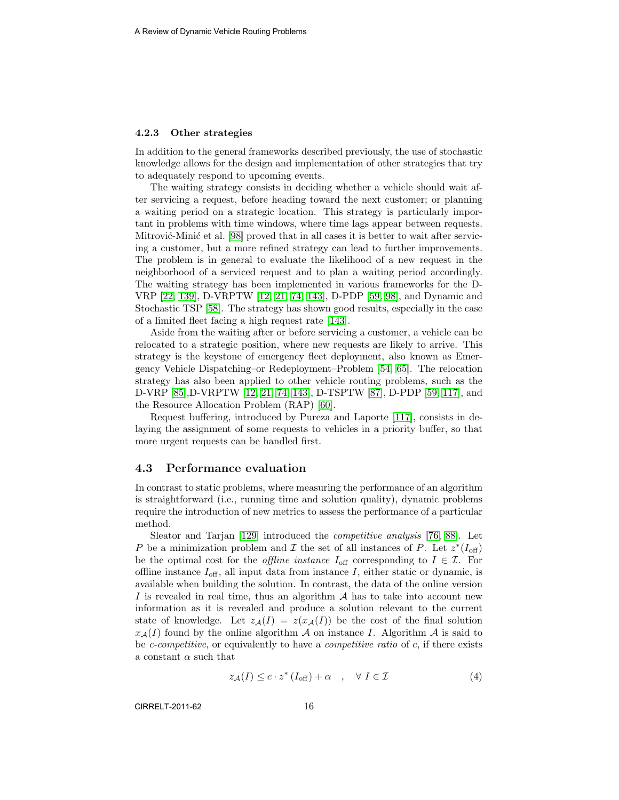#### 4.2.3 Other strategies

In addition to the general frameworks described previously, the use of stochastic knowledge allows for the design and implementation of other strategies that try to adequately respond to upcoming events.

The waiting strategy consists in deciding whether a vehicle should wait after servicing a request, before heading toward the next customer; or planning a waiting period on a strategic location. This strategy is particularly important in problems with time windows, where time lags appear between requests. Mitrović-Minić et al. [\[98\]](#page-24-15) proved that in all cases it is better to wait after servicing a customer, but a more refined strategy can lead to further improvements. The problem is in general to evaluate the likelihood of a new request in the neighborhood of a serviced request and to plan a waiting period accordingly. The waiting strategy has been implemented in various frameworks for the D-VRP [\[22,](#page-20-14) [139\]](#page-27-5), D-VRPTW [\[12,](#page-19-15) [21,](#page-20-4) [74,](#page-23-8) [143\]](#page-27-7), D-PDP [\[59,](#page-22-10) [98\]](#page-24-15), and Dynamic and Stochastic TSP [\[58\]](#page-22-15). The strategy has shown good results, especially in the case of a limited fleet facing a high request rate [\[143\]](#page-27-7).

Aside from the waiting after or before servicing a customer, a vehicle can be relocated to a strategic position, where new requests are likely to arrive. This strategy is the keystone of emergency fleet deployment, also known as Emergency Vehicle Dispatching–or Redeployment–Problem [\[54,](#page-22-1) [65\]](#page-22-2). The relocation strategy has also been applied to other vehicle routing problems, such as the D-VRP [\[85\]](#page-24-9),D-VRPTW [\[12,](#page-19-15) [21,](#page-20-4) [74,](#page-23-8) [143\]](#page-27-7), D-TSPTW [\[87\]](#page-24-4), D-PDP [\[59,](#page-22-10) [117\]](#page-25-15), and the Resource Allocation Problem (RAP) [\[60\]](#page-22-3).

Request buffering, introduced by Pureza and Laporte [\[117\]](#page-25-15), consists in delaying the assignment of some requests to vehicles in a priority buffer, so that more urgent requests can be handled first.

#### 4.3 Performance evaluation

In contrast to static problems, where measuring the performance of an algorithm is straightforward (i.e., running time and solution quality), dynamic problems require the introduction of new metrics to assess the performance of a particular method.

Sleator and Tarjan [\[129\]](#page-26-16) introduced the competitive analysis [\[76,](#page-23-5) [88\]](#page-24-11). Let P be a minimization problem and I the set of all instances of P. Let  $z^*(I_{\text{off}})$ be the optimal cost for the *offline instance*  $I_{\text{off}}$  corresponding to  $I \in \mathcal{I}$ . For offline instance  $I_{\text{off}}$ , all input data from instance I, either static or dynamic, is available when building the solution. In contrast, the data of the online version I is revealed in real time, thus an algorithm  $A$  has to take into account new information as it is revealed and produce a solution relevant to the current state of knowledge. Let  $z_{\mathcal{A}}(I) = z(x_{\mathcal{A}}(I))$  be the cost of the final solution  $x_{\mathcal{A}}(I)$  found by the online algorithm A on instance I. Algorithm A is said to be *c*-competitive, or equivalently to have a *competitive ratio* of  $c$ , if there exists a constant  $\alpha$  such that

$$
z_{\mathcal{A}}(I) \leq c \cdot z^* \left( I_{\text{off}} \right) + \alpha \quad , \quad \forall \ I \in \mathcal{I} \tag{4}
$$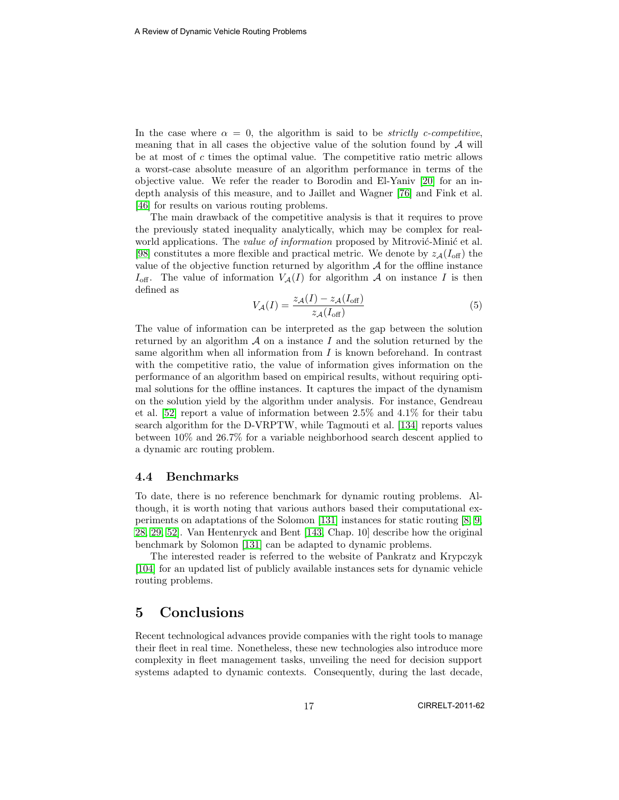In the case where  $\alpha = 0$ , the algorithm is said to be *strictly c-competitive*, meaning that in all cases the objective value of the solution found by  $A$  will be at most of c times the optimal value. The competitive ratio metric allows a worst-case absolute measure of an algorithm performance in terms of the objective value. We refer the reader to Borodin and El-Yaniv [\[20\]](#page-20-15) for an indepth analysis of this measure, and to Jaillet and Wagner [\[76\]](#page-23-5) and Fink et al. [\[46\]](#page-21-16) for results on various routing problems.

The main drawback of the competitive analysis is that it requires to prove the previously stated inequality analytically, which may be complex for realworld applications. The *value of information* proposed by Mitrović-Minić et al. [\[98\]](#page-24-15) constitutes a more flexible and practical metric. We denote by  $z_{\mathcal{A}}(I_{\text{off}})$  the value of the objective function returned by algorithm  $A$  for the offline instance  $I_{\text{off}}$ . The value of information  $V_{\mathcal{A}}(I)$  for algorithm A on instance I is then defined as

$$
V_{\mathcal{A}}(I) = \frac{z_{\mathcal{A}}(I) - z_{\mathcal{A}}(I_{\text{off}})}{z_{\mathcal{A}}(I_{\text{off}})}
$$
(5)

The value of information can be interpreted as the gap between the solution returned by an algorithm  $\mathcal A$  on a instance I and the solution returned by the same algorithm when all information from  $I$  is known beforehand. In contrast with the competitive ratio, the value of information gives information on the performance of an algorithm based on empirical results, without requiring optimal solutions for the offline instances. It captures the impact of the dynamism on the solution yield by the algorithm under analysis. For instance, Gendreau et al. [\[52\]](#page-22-5) report a value of information between 2.5% and 4.1% for their tabu search algorithm for the D-VRPTW, while Tagmouti et al. [\[134\]](#page-26-4) reports values between 10% and 26.7% for a variable neighborhood search descent applied to a dynamic arc routing problem.

#### 4.4 Benchmarks

To date, there is no reference benchmark for dynamic routing problems. Although, it is worth noting that various authors based their computational experiments on adaptations of the Solomon [\[131\]](#page-26-14) instances for static routing [\[8,](#page-19-14) [9,](#page-19-11) [28,](#page-20-3) [29,](#page-20-10) [52\]](#page-22-5). Van Hentenryck and Bent [\[143,](#page-27-7) Chap. 10] describe how the original benchmark by Solomon [\[131\]](#page-26-14) can be adapted to dynamic problems.

The interested reader is referred to the website of Pankratz and Krypczyk [\[104\]](#page-25-16) for an updated list of publicly available instances sets for dynamic vehicle routing problems.

## <span id="page-17-0"></span>5 Conclusions

Recent technological advances provide companies with the right tools to manage their fleet in real time. Nonetheless, these new technologies also introduce more complexity in fleet management tasks, unveiling the need for decision support systems adapted to dynamic contexts. Consequently, during the last decade,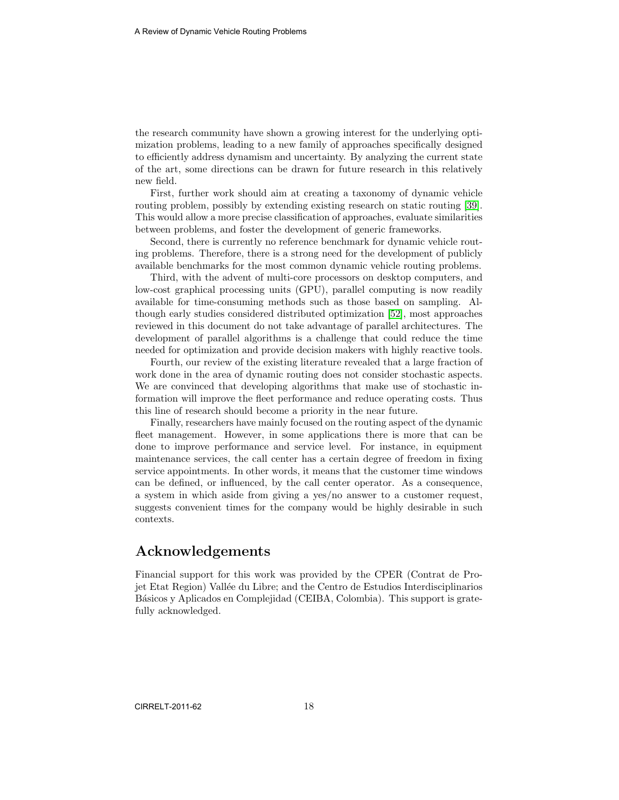the research community have shown a growing interest for the underlying optimization problems, leading to a new family of approaches specifically designed to efficiently address dynamism and uncertainty. By analyzing the current state of the art, some directions can be drawn for future research in this relatively new field.

First, further work should aim at creating a taxonomy of dynamic vehicle routing problem, possibly by extending existing research on static routing [\[39\]](#page-21-14). This would allow a more precise classification of approaches, evaluate similarities between problems, and foster the development of generic frameworks.

Second, there is currently no reference benchmark for dynamic vehicle routing problems. Therefore, there is a strong need for the development of publicly available benchmarks for the most common dynamic vehicle routing problems.

Third, with the advent of multi-core processors on desktop computers, and low-cost graphical processing units (GPU), parallel computing is now readily available for time-consuming methods such as those based on sampling. Although early studies considered distributed optimization [\[52\]](#page-22-5), most approaches reviewed in this document do not take advantage of parallel architectures. The development of parallel algorithms is a challenge that could reduce the time needed for optimization and provide decision makers with highly reactive tools.

Fourth, our review of the existing literature revealed that a large fraction of work done in the area of dynamic routing does not consider stochastic aspects. We are convinced that developing algorithms that make use of stochastic information will improve the fleet performance and reduce operating costs. Thus this line of research should become a priority in the near future.

Finally, researchers have mainly focused on the routing aspect of the dynamic fleet management. However, in some applications there is more that can be done to improve performance and service level. For instance, in equipment maintenance services, the call center has a certain degree of freedom in fixing service appointments. In other words, it means that the customer time windows can be defined, or influenced, by the call center operator. As a consequence, a system in which aside from giving a yes/no answer to a customer request, suggests convenient times for the company would be highly desirable in such contexts.

## Acknowledgements

Financial support for this work was provided by the CPER (Contrat de Projet Etat Region) Vallée du Libre; and the Centro de Estudios Interdisciplinarios B´asicos y Aplicados en Complejidad (CEIBA, Colombia). This support is gratefully acknowledged.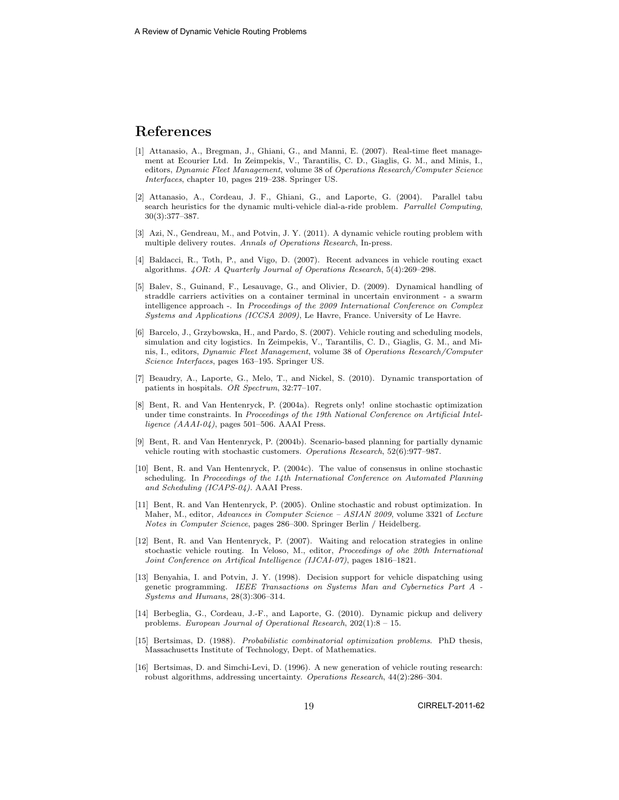# References

- <span id="page-19-6"></span>[1] Attanasio, A., Bregman, J., Ghiani, G., and Manni, E. (2007). Real-time fleet management at Ecourier Ltd. In Zeimpekis, V., Tarantilis, C. D., Giaglis, G. M., and Minis, I., editors, Dynamic Fleet Management, volume 38 of Operations Research/Computer Science Interfaces, chapter 10, pages 219–238. Springer US.
- <span id="page-19-3"></span>[2] Attanasio, A., Cordeau, J. F., Ghiani, G., and Laporte, G. (2004). Parallel tabu search heuristics for the dynamic multi-vehicle dial-a-ride problem. Parrallel Computing, 30(3):377–387.
- <span id="page-19-8"></span>[3] Azi, N., Gendreau, M., and Potvin, J. Y. (2011). A dynamic vehicle routing problem with multiple delivery routes. Annals of Operations Research, In-press.
- <span id="page-19-1"></span>[4] Baldacci, R., Toth, P., and Vigo, D. (2007). Recent advances in vehicle routing exact algorithms. 4OR: A Quarterly Journal of Operations Research, 5(4):269–298.
- <span id="page-19-9"></span>[5] Balev, S., Guinand, F., Lesauvage, G., and Olivier, D. (2009). Dynamical handling of straddle carriers activities on a container terminal in uncertain environment - a swarm intelligence approach -. In Proceedings of the 2009 International Conference on Complex Systems and Applications (ICCSA 2009), Le Havre, France. University of Le Havre.
- <span id="page-19-7"></span>[6] Barcelo, J., Grzybowska, H., and Pardo, S. (2007). Vehicle routing and scheduling models, simulation and city logistics. In Zeimpekis, V., Tarantilis, C. D., Giaglis, G. M., and Minis, I., editors, Dynamic Fleet Management, volume 38 of Operations Research/Computer Science Interfaces, pages 163–195. Springer US.
- <span id="page-19-4"></span>[7] Beaudry, A., Laporte, G., Melo, T., and Nickel, S. (2010). Dynamic transportation of patients in hospitals. OR Spectrum, 32:77–107.
- <span id="page-19-14"></span>[8] Bent, R. and Van Hentenryck, P. (2004a). Regrets only! online stochastic optimization under time constraints. In Proceedings of the 19th National Conference on Artificial Intelligence (AAAI-04), pages 501–506. AAAI Press.
- <span id="page-19-11"></span>[9] Bent, R. and Van Hentenryck, P. (2004b). Scenario-based planning for partially dynamic vehicle routing with stochastic customers. Operations Research, 52(6):977–987.
- <span id="page-19-13"></span>[10] Bent, R. and Van Hentenryck, P. (2004c). The value of consensus in online stochastic scheduling. In Proceedings of the 14th International Conference on Automated Planning and Scheduling (ICAPS-04). AAAI Press.
- <span id="page-19-5"></span>[11] Bent, R. and Van Hentenryck, P. (2005). Online stochastic and robust optimization. In Maher, M., editor, Advances in Computer Science - ASIAN 2009, volume 3321 of Lecture Notes in Computer Science, pages 286–300. Springer Berlin / Heidelberg.
- <span id="page-19-15"></span>[12] Bent, R. and Van Hentenryck, P. (2007). Waiting and relocation strategies in online stochastic vehicle routing. In Veloso, M., editor, Proceedings of ohe 20th International Joint Conference on Artifical Intelligence (IJCAI-07), pages 1816–1821.
- <span id="page-19-12"></span>[13] Benyahia, I. and Potvin, J. Y. (1998). Decision support for vehicle dispatching using genetic programming. IEEE Transactions on Systems Man and Cybernetics Part A Systems and Humans, 28(3):306–314.
- <span id="page-19-10"></span>[14] Berbeglia, G., Cordeau, J.-F., and Laporte, G. (2010). Dynamic pickup and delivery problems. European Journal of Operational Research, 202(1):8 – 15.
- <span id="page-19-2"></span>[15] Bertsimas, D. (1988). Probabilistic combinatorial optimization problems. PhD thesis, Massachusetts Institute of Technology, Dept. of Mathematics.
- <span id="page-19-0"></span>[16] Bertsimas, D. and Simchi-Levi, D. (1996). A new generation of vehicle routing research: robust algorithms, addressing uncertainty. Operations Research, 44(2):286–304.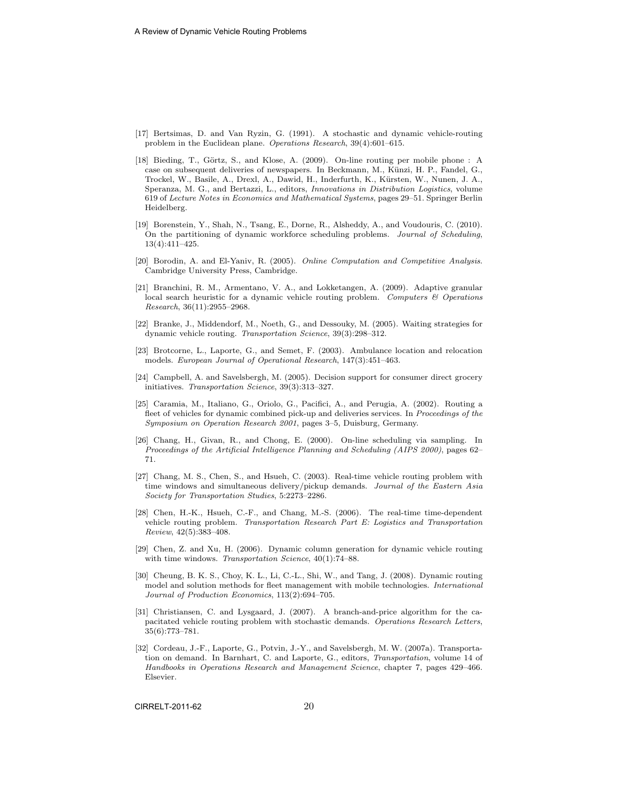- <span id="page-20-2"></span>[17] Bertsimas, D. and Van Ryzin, G. (1991). A stochastic and dynamic vehicle-routing problem in the Euclidean plane. Operations Research, 39(4):601–615.
- <span id="page-20-6"></span>[18] Bieding, T., Görtz, S., and Klose, A. (2009). On-line routing per mobile phone : A case on subsequent deliveries of newspapers. In Beckmann, M., Künzi, H. P., Fandel, G., Trockel, W., Basile, A., Drexl, A., Dawid, H., Inderfurth, K., Kürsten, W., Nunen, J. A., Speranza, M. G., and Bertazzi, L., editors, Innovations in Distribution Logistics, volume 619 of Lecture Notes in Economics and Mathematical Systems, pages 29–51. Springer Berlin Heidelberg.
- <span id="page-20-5"></span>[19] Borenstein, Y., Shah, N., Tsang, E., Dorne, R., Alsheddy, A., and Voudouris, C. (2010). On the partitioning of dynamic workforce scheduling problems. Journal of Scheduling, 13(4):411–425.
- <span id="page-20-15"></span>[20] Borodin, A. and El-Yaniv, R. (2005). Online Computation and Competitive Analysis. Cambridge University Press, Cambridge.
- <span id="page-20-4"></span>[21] Branchini, R. M., Armentano, V. A., and Lokketangen, A. (2009). Adaptive granular local search heuristic for a dynamic vehicle routing problem. Computers  $\mathcal{C}$  Operations Research, 36(11):2955–2968.
- <span id="page-20-14"></span>[22] Branke, J., Middendorf, M., Noeth, G., and Dessouky, M. (2005). Waiting strategies for dynamic vehicle routing. Transportation Science, 39(3):298–312.
- <span id="page-20-1"></span>[23] Brotcorne, L., Laporte, G., and Semet, F. (2003). Ambulance location and relocation models. European Journal of Operational Research, 147(3):451–463.
- <span id="page-20-7"></span>[24] Campbell, A. and Savelsbergh, M. (2005). Decision support for consumer direct grocery initiatives. Transportation Science, 39(3):313–327.
- <span id="page-20-8"></span>[25] Caramia, M., Italiano, G., Oriolo, G., Pacifici, A., and Perugia, A. (2002). Routing a fleet of vehicles for dynamic combined pick-up and deliveries services. In Proceedings of the Symposium on Operation Research 2001, pages 3–5, Duisburg, Germany.
- <span id="page-20-13"></span>[26] Chang, H., Givan, R., and Chong, E. (2000). On-line scheduling via sampling. In Proceedings of the Artificial Intelligence Planning and Scheduling (AIPS 2000), pages 62– 71.
- <span id="page-20-11"></span>[27] Chang, M. S., Chen, S., and Hsueh, C. (2003). Real-time vehicle routing problem with time windows and simultaneous delivery/pickup demands. Journal of the Eastern Asia Society for Transportation Studies, 5:2273–2286.
- <span id="page-20-3"></span>[28] Chen, H.-K., Hsueh, C.-F., and Chang, M.-S. (2006). The real-time time-dependent vehicle routing problem. Transportation Research Part E: Logistics and Transportation Review, 42(5):383–408.
- <span id="page-20-10"></span>[29] Chen, Z. and Xu, H. (2006). Dynamic column generation for dynamic vehicle routing with time windows. Transportation Science, 40(1):74–88.
- <span id="page-20-12"></span>[30] Cheung, B. K. S., Choy, K. L., Li, C.-L., Shi, W., and Tang, J. (2008). Dynamic routing model and solution methods for fleet management with mobile technologies. International Journal of Production Economics, 113(2):694–705.
- <span id="page-20-0"></span>[31] Christiansen, C. and Lysgaard, J. (2007). A branch-and-price algorithm for the capacitated vehicle routing problem with stochastic demands. Operations Research Letters, 35(6):773–781.
- <span id="page-20-9"></span>[32] Cordeau, J.-F., Laporte, G., Potvin, J.-Y., and Savelsbergh, M. W. (2007a). Transportation on demand. In Barnhart, C. and Laporte, G., editors, Transportation, volume 14 of Handbooks in Operations Research and Management Science, chapter 7, pages 429–466. Elsevier.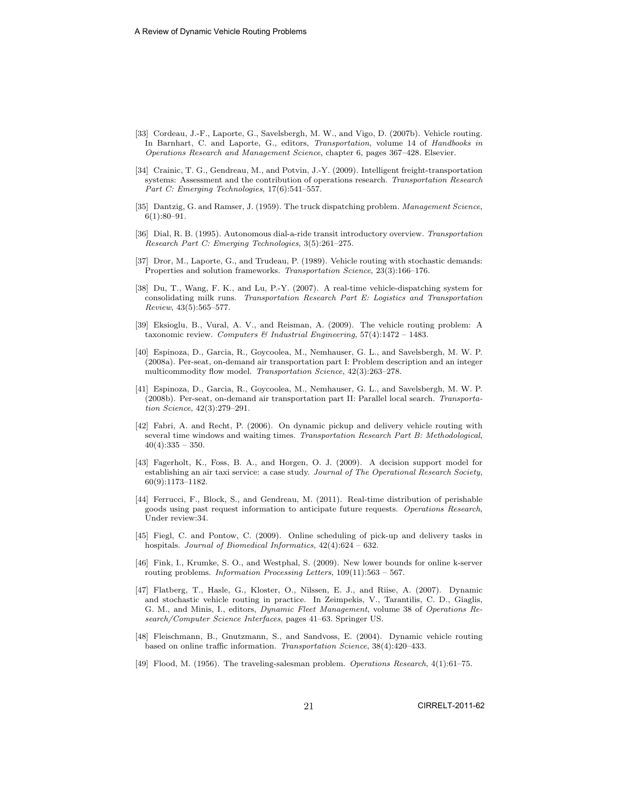- <span id="page-21-2"></span>[33] Cordeau, J.-F., Laporte, G., Savelsbergh, M. W., and Vigo, D. (2007b). Vehicle routing. In Barnhart, C. and Laporte, G., editors, Transportation, volume 14 of Handbooks in Operations Research and Management Science, chapter 6, pages 367–428. Elsevier.
- <span id="page-21-6"></span>[34] Crainic, T. G., Gendreau, M., and Potvin, J.-Y. (2009). Intelligent freight-transportation systems: Assessment and the contribution of operations research. Transportation Research Part C: Emerging Technologies, 17(6):541–557.
- <span id="page-21-0"></span>[35] Dantzig, G. and Ramser, J. (1959). The truck dispatching problem. Management Science,  $6(1):80-91.$
- <span id="page-21-11"></span>[36] Dial, R. B. (1995). Autonomous dial-a-ride transit introductory overview. Transportation Research Part C: Emerging Technologies, 3(5):261–275.
- <span id="page-21-3"></span>[37] Dror, M., Laporte, G., and Trudeau, P. (1989). Vehicle routing with stochastic demands: Properties and solution frameworks. Transportation Science, 23(3):166–176.
- <span id="page-21-7"></span>[38] Du, T., Wang, F. K., and Lu, P.-Y. (2007). A real-time vehicle-dispatching system for consolidating milk runs. Transportation Research Part E: Logistics and Transportation Review, 43(5):565–577.
- <span id="page-21-14"></span>[39] Eksioglu, B., Vural, A. V., and Reisman, A. (2009). The vehicle routing problem: A taxonomic review. Computers & Industrial Engineering,  $57(4)$ :1472 – 1483.
- <span id="page-21-12"></span>[40] Espinoza, D., Garcia, R., Goycoolea, M., Nemhauser, G. L., and Savelsbergh, M. W. P. (2008a). Per-seat, on-demand air transportation part I: Problem description and an integer multicommodity flow model. Transportation Science, 42(3):263–278.
- <span id="page-21-13"></span>[41] Espinoza, D., Garcia, R., Goycoolea, M., Nemhauser, G. L., and Savelsbergh, M. W. P. (2008b). Per-seat, on-demand air transportation part II: Parallel local search. Transportation Science, 42(3):279–291.
- <span id="page-21-10"></span>[42] Fabri, A. and Recht, P. (2006). On dynamic pickup and delivery vehicle routing with several time windows and waiting times. Transportation Research Part B: Methodological,  $40(4):335 - 350.$
- <span id="page-21-5"></span>[43] Fagerholt, K., Foss, B. A., and Horgen, O. J. (2009). A decision support model for establishing an air taxi service: a case study. Journal of The Operational Research Society, 60(9):1173–1182.
- <span id="page-21-8"></span>[44] Ferrucci, F., Block, S., and Gendreau, M. (2011). Real-time distribution of perishable goods using past request information to anticipate future requests. Operations Research, Under review:34.
- <span id="page-21-9"></span>[45] Fiegl, C. and Pontow, C. (2009). Online scheduling of pick-up and delivery tasks in hospitals. Journal of Biomedical Informatics,  $42(4):624 - 632$ .
- <span id="page-21-16"></span>[46] Fink, I., Krumke, S. O., and Westphal, S. (2009). New lower bounds for online k-server routing problems. Information Processing Letters, 109(11):563 – 567.
- <span id="page-21-15"></span>[47] Flatberg, T., Hasle, G., Kloster, O., Nilssen, E. J., and Riise, A. (2007). Dynamic and stochastic vehicle routing in practice. In Zeimpekis, V., Tarantilis, C. D., Giaglis, G. M., and Minis, I., editors, Dynamic Fleet Management, volume 38 of Operations Research/Computer Science Interfaces, pages 41–63. Springer US.
- <span id="page-21-4"></span>[48] Fleischmann, B., Gnutzmann, S., and Sandvoss, E. (2004). Dynamic vehicle routing based on online traffic information. Transportation Science, 38(4):420–433.
- <span id="page-21-1"></span>[49] Flood, M. (1956). The traveling-salesman problem. Operations Research, 4(1):61–75.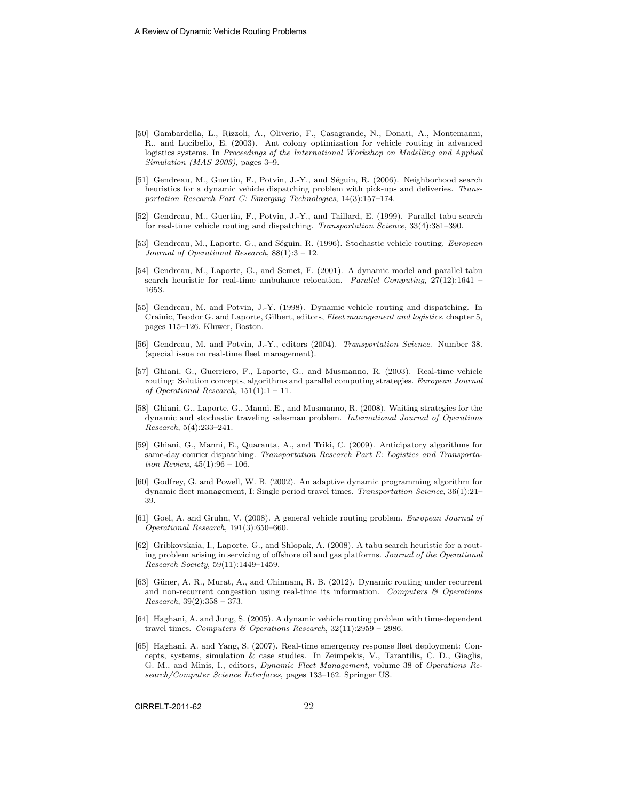- <span id="page-22-14"></span>[50] Gambardella, L., Rizzoli, A., Oliverio, F., Casagrande, N., Donati, A., Montemanni, R., and Lucibello, E. (2003). Ant colony optimization for vehicle routing in advanced logistics systems. In Proceedings of the International Workshop on Modelling and Applied Simulation (MAS 2003), pages 3–9.
- <span id="page-22-9"></span>[51] Gendreau, M., Guertin, F., Potvin, J.-Y., and Séguin, R. (2006). Neighborhood search heuristics for a dynamic vehicle dispatching problem with pick-ups and deliveries. Transportation Research Part C: Emerging Technologies, 14(3):157–174.
- <span id="page-22-5"></span>[52] Gendreau, M., Guertin, F., Potvin, J.-Y., and Taillard, E. (1999). Parallel tabu search for real-time vehicle routing and dispatching. Transportation Science, 33(4):381–390.
- <span id="page-22-0"></span>[53] Gendreau, M., Laporte, G., and Séguin, R. (1996). Stochastic vehicle routing. European Journal of Operational Research, 88(1):3 – 12.
- <span id="page-22-1"></span>[54] Gendreau, M., Laporte, G., and Semet, F. (2001). A dynamic model and parallel tabu search heuristic for real-time ambulance relocation. Parallel Computing,  $27(12):1641$  – 1653.
- <span id="page-22-8"></span>[55] Gendreau, M. and Potvin, J.-Y. (1998). Dynamic vehicle routing and dispatching. In Crainic, Teodor G. and Laporte, Gilbert, editors, Fleet management and logistics, chapter 5, pages 115–126. Kluwer, Boston.
- <span id="page-22-12"></span>[56] Gendreau, M. and Potvin, J.-Y., editors (2004). Transportation Science. Number 38. (special issue on real-time fleet management).
- <span id="page-22-13"></span>[57] Ghiani, G., Guerriero, F., Laporte, G., and Musmanno, R. (2003). Real-time vehicle routing: Solution concepts, algorithms and parallel computing strategies. European Journal of Operational Research, 151(1):1 – 11.
- <span id="page-22-15"></span>[58] Ghiani, G., Laporte, G., Manni, E., and Musmanno, R. (2008). Waiting strategies for the dynamic and stochastic traveling salesman problem. International Journal of Operations Research, 5(4):233–241.
- <span id="page-22-10"></span>[59] Ghiani, G., Manni, E., Quaranta, A., and Triki, C. (2009). Anticipatory algorithms for same-day courier dispatching. Transportation Research Part E: Logistics and Transportation Review,  $45(1):96 - 106$ .
- <span id="page-22-3"></span>[60] Godfrey, G. and Powell, W. B. (2002). An adaptive dynamic programming algorithm for dynamic fleet management, I: Single period travel times. Transportation Science, 36(1):21– 39.
- <span id="page-22-4"></span>[61] Goel, A. and Gruhn, V. (2008). A general vehicle routing problem. European Journal of Operational Research, 191(3):650–660.
- <span id="page-22-11"></span>[62] Gribkovskaia, I., Laporte, G., and Shlopak, A. (2008). A tabu search heuristic for a routing problem arising in servicing of offshore oil and gas platforms. Journal of the Operational Research Society, 59(11):1449–1459.
- <span id="page-22-6"></span>[63] Güner, A. R., Murat, A., and Chinnam, R. B. (2012). Dynamic routing under recurrent and non-recurrent congestion using real-time its information. Computers  $\mathcal B$  Operations  $Research, 39(2):358 - 373.$
- <span id="page-22-7"></span>[64] Haghani, A. and Jung, S. (2005). A dynamic vehicle routing problem with time-dependent travel times. Computers & Operations Research,  $32(11):2959 - 2986$ .
- <span id="page-22-2"></span>[65] Haghani, A. and Yang, S. (2007). Real-time emergency response fleet deployment: Concepts, systems, simulation & case studies. In Zeimpekis, V., Tarantilis, C. D., Giaglis, G. M., and Minis, I., editors, Dynamic Fleet Management, volume 38 of Operations Research/Computer Science Interfaces, pages 133–162. Springer US.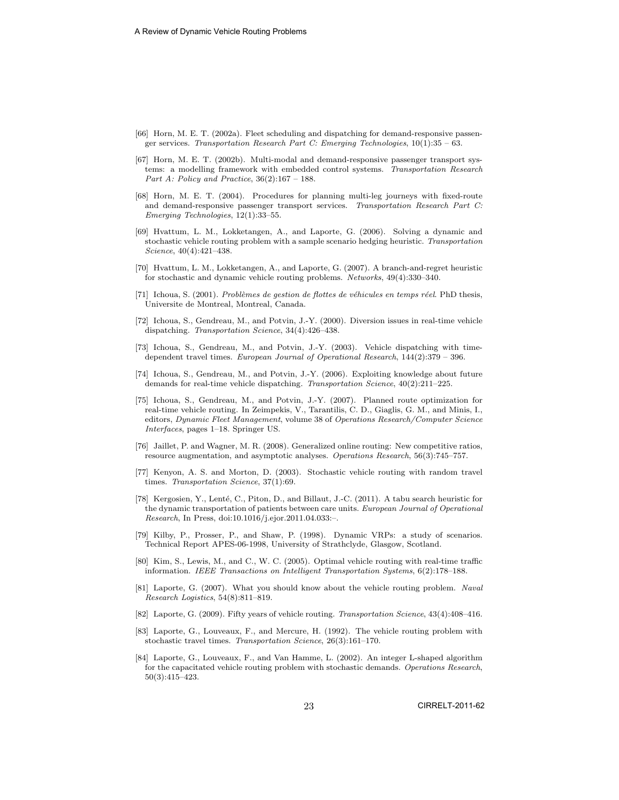- <span id="page-23-11"></span>[66] Horn, M. E. T. (2002a). Fleet scheduling and dispatching for demand-responsive passenger services. Transportation Research Part C: Emerging Technologies, 10(1):35 – 63.
- <span id="page-23-12"></span>[67] Horn, M. E. T. (2002b). Multi-modal and demand-responsive passenger transport systems: a modelling framework with embedded control systems. Transportation Research Part A: Policy and Practice,  $36(2):167 - 188$ .
- <span id="page-23-13"></span>[68] Horn, M. E. T. (2004). Procedures for planning multi-leg journeys with fixed-route and demand-responsive passenger transport services. Transportation Research Part C: Emerging Technologies, 12(1):33–55.
- <span id="page-23-6"></span>[69] Hvattum, L. M., Lokketangen, A., and Laporte, G. (2006). Solving a dynamic and stochastic vehicle routing problem with a sample scenario hedging heuristic. Transportation Science, 40(4):421–438.
- <span id="page-23-7"></span>[70] Hvattum, L. M., Lokketangen, A., and Laporte, G. (2007). A branch-and-regret heuristic for stochastic and dynamic vehicle routing problems. Networks, 49(4):330–340.
- <span id="page-23-15"></span> $[71]$  Ichoua, S. (2001). Problèmes de gestion de flottes de véhicules en temps réel. PhD thesis, Universite de Montreal, Montreal, Canada.
- <span id="page-23-9"></span>[72] Ichoua, S., Gendreau, M., and Potvin, J.-Y. (2000). Diversion issues in real-time vehicle dispatching. Transportation Science, 34(4):426–438.
- <span id="page-23-16"></span>[73] Ichoua, S., Gendreau, M., and Potvin, J.-Y. (2003). Vehicle dispatching with timedependent travel times. European Journal of Operational Research, 144(2):379 – 396.
- <span id="page-23-8"></span>[74] Ichoua, S., Gendreau, M., and Potvin, J.-Y. (2006). Exploiting knowledge about future demands for real-time vehicle dispatching. Transportation Science, 40(2):211–225.
- <span id="page-23-10"></span>[75] Ichoua, S., Gendreau, M., and Potvin, J.-Y. (2007). Planned route optimization for real-time vehicle routing. In Zeimpekis, V., Tarantilis, C. D., Giaglis, G. M., and Minis, I., editors, Dynamic Fleet Management, volume 38 of Operations Research/Computer Science Interfaces, pages 1–18. Springer US.
- <span id="page-23-5"></span>[76] Jaillet, P. and Wagner, M. R. (2008). Generalized online routing: New competitive ratios, resource augmentation, and asymptotic analyses. Operations Research, 56(3):745–757.
- <span id="page-23-2"></span>[77] Kenyon, A. S. and Morton, D. (2003). Stochastic vehicle routing with random travel times. Transportation Science, 37(1):69.
- <span id="page-23-14"></span>[78] Kergosien, Y., Lenté, C., Piton, D., and Billaut, J.-C. (2011). A tabu search heuristic for the dynamic transportation of patients between care units. European Journal of Operational Research, In Press, doi:10.1016/j.ejor.2011.04.033:–.
- <span id="page-23-17"></span>[79] Kilby, P., Prosser, P., and Shaw, P. (1998). Dynamic VRPs: a study of scenarios. Technical Report APES-06-1998, University of Strathclyde, Glasgow, Scotland.
- <span id="page-23-18"></span>[80] Kim, S., Lewis, M., and C., W. C. (2005). Optimal vehicle routing with real-time traffic information. IEEE Transactions on Intelligent Transportation Systems, 6(2):178–188.
- <span id="page-23-0"></span>[81] Laporte, G. (2007). What you should know about the vehicle routing problem. Naval Research Logistics, 54(8):811–819.
- <span id="page-23-1"></span>[82] Laporte, G. (2009). Fifty years of vehicle routing. Transportation Science, 43(4):408–416.
- <span id="page-23-3"></span>[83] Laporte, G., Louveaux, F., and Mercure, H. (1992). The vehicle routing problem with stochastic travel times. Transportation Science, 26(3):161–170.
- <span id="page-23-4"></span>[84] Laporte, G., Louveaux, F., and Van Hamme, L. (2002). An integer L-shaped algorithm for the capacitated vehicle routing problem with stochastic demands. Operations Research, 50(3):415–423.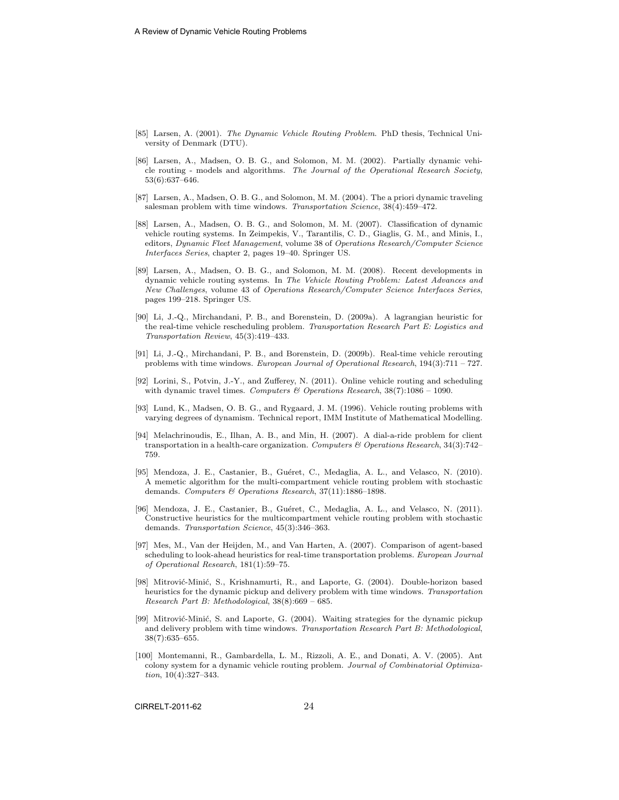- <span id="page-24-9"></span>[85] Larsen, A. (2001). The Dynamic Vehicle Routing Problem. PhD thesis, Technical University of Denmark (DTU).
- <span id="page-24-10"></span>[86] Larsen, A., Madsen, O. B. G., and Solomon, M. M. (2002). Partially dynamic vehicle routing - models and algorithms. The Journal of the Operational Research Society, 53(6):637–646.
- <span id="page-24-4"></span>[87] Larsen, A., Madsen, O. B. G., and Solomon, M. M. (2004). The a priori dynamic traveling salesman problem with time windows. Transportation Science, 38(4):459–472.
- <span id="page-24-11"></span>[88] Larsen, A., Madsen, O. B. G., and Solomon, M. M. (2007). Classification of dynamic vehicle routing systems. In Zeimpekis, V., Tarantilis, C. D., Giaglis, G. M., and Minis, I., editors, Dynamic Fleet Management, volume 38 of Operations Research/Computer Science Interfaces Series, chapter 2, pages 19–40. Springer US.
- <span id="page-24-13"></span>[89] Larsen, A., Madsen, O. B. G., and Solomon, M. M. (2008). Recent developments in dynamic vehicle routing systems. In The Vehicle Routing Problem: Latest Advances and New Challenges, volume 43 of Operations Research/Computer Science Interfaces Series, pages 199–218. Springer US.
- <span id="page-24-6"></span>[90] Li, J.-Q., Mirchandani, P. B., and Borenstein, D. (2009a). A lagrangian heuristic for the real-time vehicle rescheduling problem. Transportation Research Part E: Logistics and Transportation Review, 45(3):419–433.
- <span id="page-24-7"></span>[91] Li, J.-Q., Mirchandani, P. B., and Borenstein, D. (2009b). Real-time vehicle rerouting problems with time windows. European Journal of Operational Research, 194(3):711 – 727.
- <span id="page-24-5"></span>[92] Lorini, S., Potvin, J.-Y., and Zufferey, N. (2011). Online vehicle routing and scheduling with dynamic travel times. Computers  $\mathcal C$  Operations Research, 38(7):1086 - 1090.
- <span id="page-24-8"></span>[93] Lund, K., Madsen, O. B. G., and Rygaard, J. M. (1996). Vehicle routing problems with varying degrees of dynamism. Technical report, IMM Institute of Mathematical Modelling.
- <span id="page-24-12"></span>[94] Melachrinoudis, E., Ilhan, A. B., and Min, H. (2007). A dial-a-ride problem for client transportation in a health-care organization. Computers & Operations Research, 34(3):742-759.
- <span id="page-24-0"></span>[95] Mendoza, J. E., Castanier, B., Guéret, C., Medaglia, A. L., and Velasco, N. (2010). A memetic algorithm for the multi-compartment vehicle routing problem with stochastic demands. Computers & Operations Research, 37(11):1886–1898.
- <span id="page-24-1"></span>[96] Mendoza, J. E., Castanier, B., Guéret, C., Medaglia, A. L., and Velasco, N. (2011). Constructive heuristics for the multicompartment vehicle routing problem with stochastic demands. Transportation Science, 45(3):346–363.
- <span id="page-24-2"></span>[97] Mes, M., Van der Heijden, M., and Van Harten, A. (2007). Comparison of agent-based scheduling to look-ahead heuristics for real-time transportation problems. European Journal of Operational Research, 181(1):59–75.
- <span id="page-24-15"></span>[98] Mitrović-Minić, S., Krishnamurti, R., and Laporte, G. (2004). Double-horizon based heuristics for the dynamic pickup and delivery problem with time windows. Transportation Research Part B: Methodological, 38(8):669 – 685.
- <span id="page-24-3"></span>[99] Mitrović-Minić, S. and Laporte, G. (2004). Waiting strategies for the dynamic pickup and delivery problem with time windows. Transportation Research Part B: Methodological, 38(7):635–655.
- <span id="page-24-14"></span>[100] Montemanni, R., Gambardella, L. M., Rizzoli, A. E., and Donati, A. V. (2005). Ant colony system for a dynamic vehicle routing problem. Journal of Combinatorial Optimization, 10(4):327–343.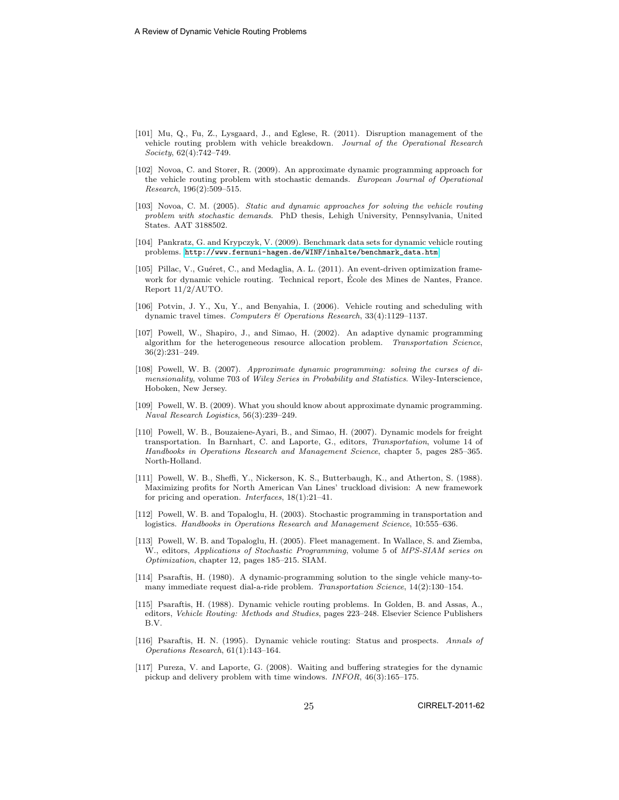- <span id="page-25-5"></span>[101] Mu, Q., Fu, Z., Lysgaard, J., and Eglese, R. (2011). Disruption management of the vehicle routing problem with vehicle breakdown. Journal of the Operational Research Society, 62(4):742–749.
- <span id="page-25-1"></span>[102] Novoa, C. and Storer, R. (2009). An approximate dynamic programming approach for the vehicle routing problem with stochastic demands. European Journal of Operational Research, 196(2):509–515.
- <span id="page-25-4"></span>[103] Novoa, C. M. (2005). Static and dynamic approaches for solving the vehicle routing problem with stochastic demands. PhD thesis, Lehigh University, Pennsylvania, United States. AAT 3188502.
- <span id="page-25-16"></span>[104] Pankratz, G. and Krypczyk, V. (2009). Benchmark data sets for dynamic vehicle routing problems. [http://www.fernuni-hagen.de/WINF/inhalte/benchmark\\_data.htm](http://www.fernuni-hagen.de/WINF/inhalte/benchmark_data.htm).
- <span id="page-25-14"></span>[105] Pillac, V., Guéret, C., and Medaglia, A. L. (2011). An event-driven optimization framework for dynamic vehicle routing. Technical report, Ecole des Mines de Nantes, France. ´ Report 11/2/AUTO.
- <span id="page-25-3"></span>[106] Potvin, J. Y., Xu, Y., and Benyahia, I. (2006). Vehicle routing and scheduling with dynamic travel times. Computers & Operations Research, 33(4):1129–1137.
- <span id="page-25-2"></span>[107] Powell, W., Shapiro, J., and Simao, H. (2002). An adaptive dynamic programming algorithm for the heterogeneous resource allocation problem. Transportation Science, 36(2):231–249.
- <span id="page-25-9"></span>[108] Powell, W. B. (2007). Approximate dynamic programming: solving the curses of dimensionality, volume 703 of Wiley Series in Probability and Statistics. Wiley-Interscience, Hoboken, New Jersey.
- <span id="page-25-11"></span>[109] Powell, W. B. (2009). What you should know about approximate dynamic programming. Naval Research Logistics, 56(3):239–249.
- <span id="page-25-12"></span>[110] Powell, W. B., Bouzaiene-Ayari, B., and Simao, H. (2007). Dynamic models for freight transportation. In Barnhart, C. and Laporte, G., editors, Transportation, volume 14 of Handbooks in Operations Research and Management Science, chapter 5, pages 285–365. North-Holland.
- <span id="page-25-10"></span>[111] Powell, W. B., Sheffi, Y., Nickerson, K. S., Butterbaugh, K., and Atherton, S. (1988). Maximizing profits for North American Van Lines' truckload division: A new framework for pricing and operation. Interfaces, 18(1):21–41.
- <span id="page-25-13"></span>[112] Powell, W. B. and Topaloglu, H. (2003). Stochastic programming in transportation and logistics. Handbooks in Operations Research and Management Science, 10:555–636.
- <span id="page-25-8"></span>[113] Powell, W. B. and Topaloglu, H. (2005). Fleet management. In Wallace, S. and Ziemba, W., editors, Applications of Stochastic Programming, volume 5 of MPS-SIAM series on Optimization, chapter 12, pages 185–215. SIAM.
- <span id="page-25-0"></span>[114] Psaraftis, H. (1980). A dynamic-programming solution to the single vehicle many-tomany immediate request dial-a-ride problem. Transportation Science, 14(2):130–154.
- <span id="page-25-7"></span>[115] Psaraftis, H. (1988). Dynamic vehicle routing problems. In Golden, B. and Assas, A., editors, Vehicle Routing: Methods and Studies, pages 223–248. Elsevier Science Publishers B.V.
- <span id="page-25-6"></span>[116] Psaraftis, H. N. (1995). Dynamic vehicle routing: Status and prospects. Annals of Operations Research, 61(1):143–164.
- <span id="page-25-15"></span>[117] Pureza, V. and Laporte, G. (2008). Waiting and buffering strategies for the dynamic pickup and delivery problem with time windows. INFOR, 46(3):165–175.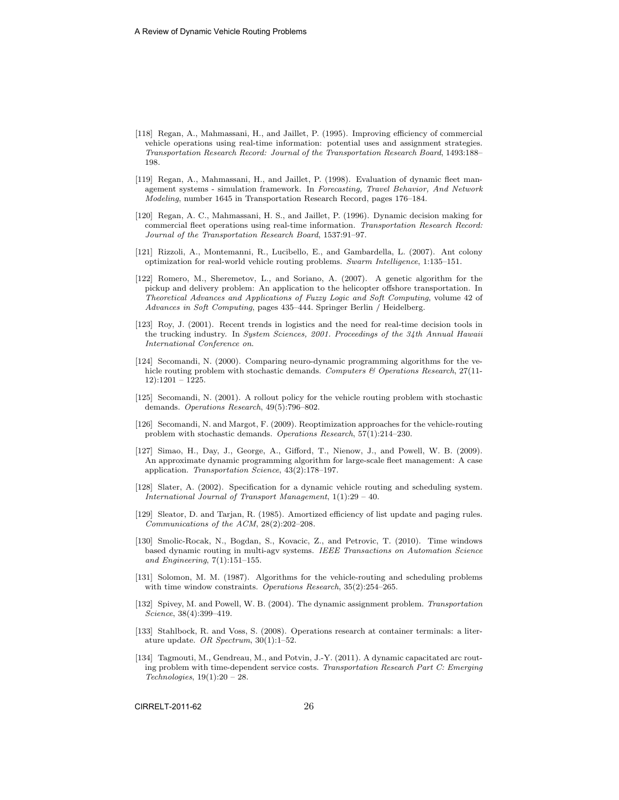- <span id="page-26-5"></span>[118] Regan, A., Mahmassani, H., and Jaillet, P. (1995). Improving efficiency of commercial vehicle operations using real-time information: potential uses and assignment strategies. Transportation Research Record: Journal of the Transportation Research Board, 1493:188– 198.
- <span id="page-26-6"></span>[119] Regan, A., Mahmassani, H., and Jaillet, P. (1998). Evaluation of dynamic fleet management systems - simulation framework. In Forecasting, Travel Behavior, And Network Modeling, number 1645 in Transportation Research Record, pages 176–184.
- <span id="page-26-7"></span>[120] Regan, A. C., Mahmassani, H. S., and Jaillet, P. (1996). Dynamic decision making for commercial fleet operations using real-time information. Transportation Research Record: Journal of the Transportation Research Board, 1537:91–97.
- <span id="page-26-15"></span>[121] Rizzoli, A., Montemanni, R., Lucibello, E., and Gambardella, L. (2007). Ant colony optimization for real-world vehicle routing problems. Swarm Intelligence, 1:135–151.
- <span id="page-26-13"></span>[122] Romero, M., Sheremetov, L., and Soriano, A. (2007). A genetic algorithm for the pickup and delivery problem: An application to the helicopter offshore transportation. In Theoretical Advances and Applications of Fuzzy Logic and Soft Computing, volume 42 of Advances in Soft Computing, pages 435–444. Springer Berlin / Heidelberg.
- <span id="page-26-8"></span>[123] Roy, J. (2001). Recent trends in logistics and the need for real-time decision tools in the trucking industry. In System Sciences, 2001. Proceedings of the 34th Annual Hawaii International Conference on.
- <span id="page-26-2"></span>[124] Secomandi, N. (2000). Comparing neuro-dynamic programming algorithms for the vehicle routing problem with stochastic demands. Computers  $\mathcal B$  Operations Research, 27(11-12):1201 – 1225.
- <span id="page-26-0"></span>[125] Secomandi, N. (2001). A rollout policy for the vehicle routing problem with stochastic demands. Operations Research, 49(5):796–802.
- <span id="page-26-1"></span>[126] Secomandi, N. and Margot, F. (2009). Reoptimization approaches for the vehicle-routing problem with stochastic demands. Operations Research, 57(1):214–230.
- <span id="page-26-9"></span>[127] Simao, H., Day, J., George, A., Gifford, T., Nienow, J., and Powell, W. B. (2009). An approximate dynamic programming algorithm for large-scale fleet management: A case application. Transportation Science, 43(2):178–197.
- <span id="page-26-10"></span>[128] Slater, A. (2002). Specification for a dynamic vehicle routing and scheduling system. International Journal of Transport Management, 1(1):29 – 40.
- <span id="page-26-16"></span>[129] Sleator, D. and Tarjan, R. (1985). Amortized efficiency of list update and paging rules. Communications of the ACM, 28(2):202–208.
- <span id="page-26-12"></span>[130] Smolic-Rocak, N., Bogdan, S., Kovacic, Z., and Petrovic, T. (2010). Time windows based dynamic routing in multi-agv systems. IEEE Transactions on Automation Science and Engineering, 7(1):151–155.
- <span id="page-26-14"></span>[131] Solomon, M. M. (1987). Algorithms for the vehicle-routing and scheduling problems with time window constraints. Operations Research, 35(2):254–265.
- <span id="page-26-3"></span>[132] Spivey, M. and Powell, W. B. (2004). The dynamic assignment problem. Transportation Science, 38(4):399–419.
- <span id="page-26-11"></span>[133] Stahlbock, R. and Voss, S. (2008). Operations research at container terminals: a literature update. OR Spectrum,  $30(1)$ :1–52.
- <span id="page-26-4"></span>[134] Tagmouti, M., Gendreau, M., and Potvin, J.-Y. (2011). A dynamic capacitated arc routing problem with time-dependent service costs. Transportation Research Part C: Emerging  $Technologies, 19(1):20-28.$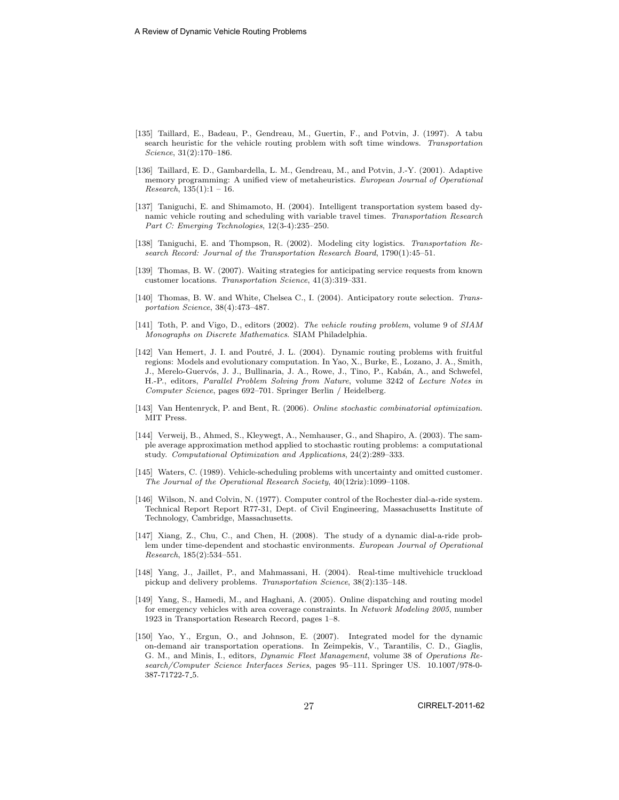- <span id="page-27-12"></span>[135] Taillard, E., Badeau, P., Gendreau, M., Guertin, F., and Potvin, J. (1997). A tabu search heuristic for the vehicle routing problem with soft time windows. Transportation Science, 31(2):170–186.
- <span id="page-27-13"></span>[136] Taillard, E. D., Gambardella, L. M., Gendreau, M., and Potvin, J.-Y. (2001). Adaptive memory programming: A unified view of metaheuristics. European Journal of Operational Research,  $135(1):1 - 16$ .
- <span id="page-27-6"></span>[137] Taniguchi, E. and Shimamoto, H. (2004). Intelligent transportation system based dynamic vehicle routing and scheduling with variable travel times. Transportation Research Part C: Emerging Technologies, 12(3-4):235–250.
- <span id="page-27-8"></span>[138] Taniguchi, E. and Thompson, R. (2002). Modeling city logistics. Transportation Research Record: Journal of the Transportation Research Board, 1790(1):45–51.
- <span id="page-27-5"></span>[139] Thomas, B. W. (2007). Waiting strategies for anticipating service requests from known customer locations. Transportation Science, 41(3):319–331.
- <span id="page-27-14"></span>[140] Thomas, B. W. and White, Chelsea C., I. (2004). Anticipatory route selection. Transportation Science, 38(4):473–487.
- <span id="page-27-0"></span>[141] Toth, P. and Vigo, D., editors (2002). The vehicle routing problem, volume 9 of SIAM Monographs on Discrete Mathematics. SIAM Philadelphia.
- <span id="page-27-4"></span>[142] Van Hemert, J. I. and Poutré, J. L. (2004). Dynamic routing problems with fruitful regions: Models and evolutionary computation. In Yao, X., Burke, E., Lozano, J. A., Smith, J., Merelo-Guervós, J. J., Bullinaria, J. A., Rowe, J., Tino, P., Kabán, A., and Schwefel, H.-P., editors, Parallel Problem Solving from Nature, volume 3242 of Lecture Notes in Computer Science, pages 692–701. Springer Berlin / Heidelberg.
- <span id="page-27-7"></span>[143] Van Hentenryck, P. and Bent, R. (2006). Online stochastic combinatorial optimization. MIT Press.
- <span id="page-27-2"></span>[144] Verweij, B., Ahmed, S., Kleywegt, A., Nemhauser, G., and Shapiro, A. (2003). The sample average approximation method applied to stochastic routing problems: a computational study. Computational Optimization and Applications, 24(2):289–333.
- <span id="page-27-1"></span>[145] Waters, C. (1989). Vehicle-scheduling problems with uncertainty and omitted customer. The Journal of the Operational Research Society, 40(12riz):1099–1108.
- <span id="page-27-3"></span>[146] Wilson, N. and Colvin, N. (1977). Computer control of the Rochester dial-a-ride system. Technical Report Report R77-31, Dept. of Civil Engineering, Massachusetts Institute of Technology, Cambridge, Massachusetts.
- <span id="page-27-9"></span>[147] Xiang, Z., Chu, C., and Chen, H. (2008). The study of a dynamic dial-a-ride problem under time-dependent and stochastic environments. European Journal of Operational Research, 185(2):534–551.
- <span id="page-27-11"></span>[148] Yang, J., Jaillet, P., and Mahmassani, H. (2004). Real-time multivehicle truckload pickup and delivery problems. Transportation Science, 38(2):135–148.
- <span id="page-27-15"></span>[149] Yang, S., Hamedi, M., and Haghani, A. (2005). Online dispatching and routing model for emergency vehicles with area coverage constraints. In Network Modeling 2005, number 1923 in Transportation Research Record, pages 1–8.
- <span id="page-27-10"></span>[150] Yao, Y., Ergun, O., and Johnson, E. (2007). Integrated model for the dynamic on-demand air transportation operations. In Zeimpekis, V., Tarantilis, C. D., Giaglis, G. M., and Minis, I., editors, Dynamic Fleet Management, volume 38 of Operations Research/Computer Science Interfaces Series, pages 95–111. Springer US. 10.1007/978-0- 387-71722-7.5.